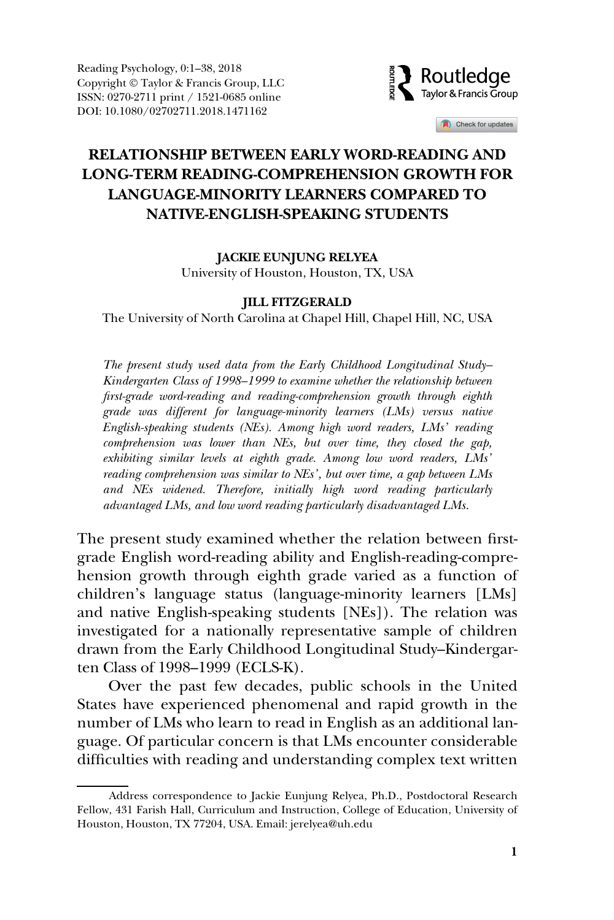

Check for updates

# RELATIONSHIP BETWEEN EARLY WORD-READING AND LONG-TERM READING-COMPREHENSION GROWTH FOR LANGUAGE-MINORITY LEARNERS COMPARED TO NATIVE-ENGLISH-SPEAKING STUDENTS

### JACKIE EUNJUNG RELYEA

University of Houston, Houston, TX, USA

#### JILL FITZGERALD

The University of North Carolina at Chapel Hill, Chapel Hill, NC, USA

The present study used data from the Early Childhood Longitudinal Study– Kindergarten Class of 1998–1999 to examine whether the relationship between first-grade word-reading and reading-comprehension growth through eighth grade was different for language-minority learners (LMs) versus native English-speaking students (NEs). Among high word readers, LMs' reading comprehension was lower than NEs, but over time, they closed the gap, exhibiting similar levels at eighth grade. Among low word readers, LMs' reading comprehension was similar to NEs', but over time, a gap between LMs and NEs widened. Therefore, initially high word reading particularly advantaged LMs, and low word reading particularly disadvantaged LMs.

The present study examined whether the relation between firstgrade English word-reading ability and English-reading-comprehension growth through eighth grade varied as a function of children's language status (language-minority learners [LMs] and native English-speaking students [NEs]). The relation was investigated for a nationally representative sample of children drawn from the Early Childhood Longitudinal Study–Kindergarten Class of 1998–1999 (ECLS-K).

Over the past few decades, public schools in the United States have experienced phenomenal and rapid growth in the number of LMs who learn to read in English as an additional language. Of particular concern is that LMs encounter considerable difficulties with reading and understanding complex text written

Address correspondence to Jackie Eunjung Relyea, Ph.D., Postdoctoral Research Fellow, 431 Farish Hall, Curriculum and Instruction, College of Education, University of Houston, Houston, TX 77204, USA. Email: jerelyea@uh.edu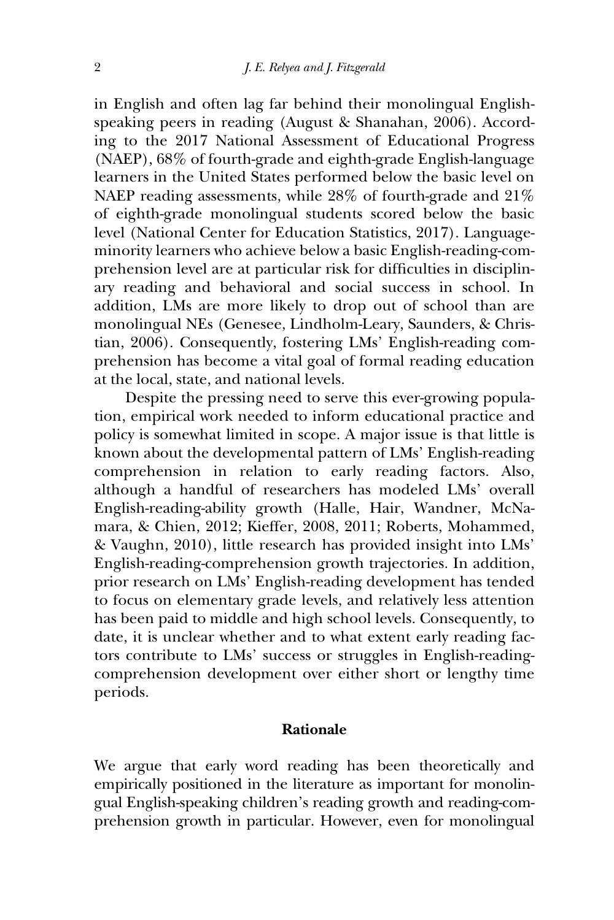in English and often lag far behind their monolingual Englishspeaking peers in reading (August & Shanahan, 2006). According to the 2017 National Assessment of Educational Progress (NAEP), 68% of fourth-grade and eighth-grade English-language learners in the United States performed below the basic level on NAEP reading assessments, while 28% of fourth-grade and 21% of eighth-grade monolingual students scored below the basic level (National Center for Education Statistics, 2017). Languageminority learners who achieve below a basic English-reading-comprehension level are at particular risk for difficulties in disciplinary reading and behavioral and social success in school. In addition, LMs are more likely to drop out of school than are monolingual NEs (Genesee, Lindholm-Leary, Saunders, & Christian, 2006). Consequently, fostering LMs' English-reading comprehension has become a vital goal of formal reading education at the local, state, and national levels.

Despite the pressing need to serve this ever-growing population, empirical work needed to inform educational practice and policy is somewhat limited in scope. A major issue is that little is known about the developmental pattern of LMs' English-reading comprehension in relation to early reading factors. Also, although a handful of researchers has modeled LMs' overall English-reading-ability growth (Halle, Hair, Wandner, McNamara, & Chien, 2012; Kieffer, 2008, 2011; Roberts, Mohammed, & Vaughn, 2010), little research has provided insight into LMs' English-reading-comprehension growth trajectories. In addition, prior research on LMs' English-reading development has tended to focus on elementary grade levels, and relatively less attention has been paid to middle and high school levels. Consequently, to date, it is unclear whether and to what extent early reading factors contribute to LMs' success or struggles in English-readingcomprehension development over either short or lengthy time periods.

#### Rationale

We argue that early word reading has been theoretically and empirically positioned in the literature as important for monolingual English-speaking children's reading growth and reading-comprehension growth in particular. However, even for monolingual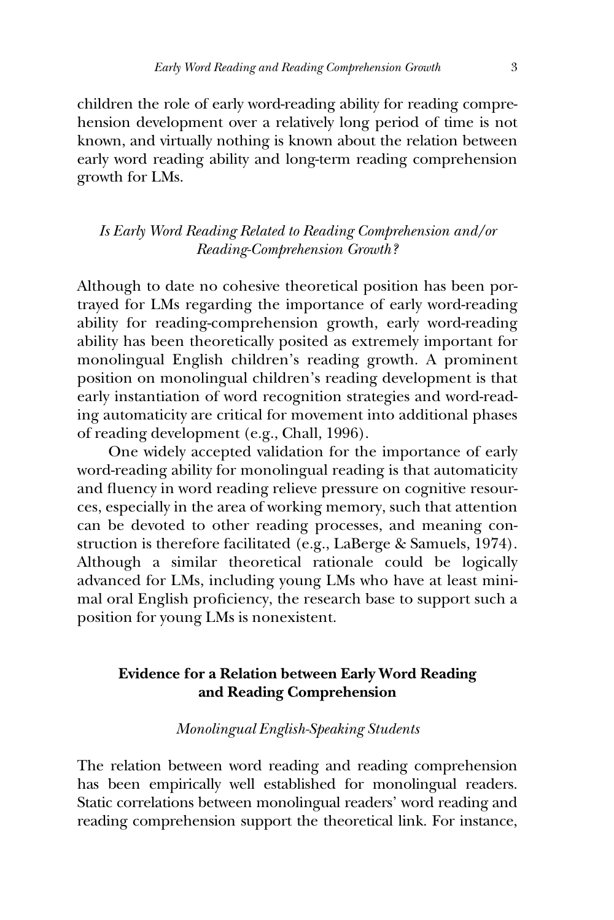children the role of early word-reading ability for reading comprehension development over a relatively long period of time is not known, and virtually nothing is known about the relation between early word reading ability and long-term reading comprehension growth for LMs.

# Is Early Word Reading Related to Reading Comprehension and/or Reading-Comprehension Growth?

Although to date no cohesive theoretical position has been portrayed for LMs regarding the importance of early word-reading ability for reading-comprehension growth, early word-reading ability has been theoretically posited as extremely important for monolingual English children's reading growth. A prominent position on monolingual children's reading development is that early instantiation of word recognition strategies and word-reading automaticity are critical for movement into additional phases of reading development (e.g., Chall, 1996).

One widely accepted validation for the importance of early word-reading ability for monolingual reading is that automaticity and fluency in word reading relieve pressure on cognitive resources, especially in the area of working memory, such that attention can be devoted to other reading processes, and meaning construction is therefore facilitated (e.g., LaBerge & Samuels, 1974). Although a similar theoretical rationale could be logically advanced for LMs, including young LMs who have at least minimal oral English proficiency, the research base to support such a position for young LMs is nonexistent.

# Evidence for a Relation between Early Word Reading and Reading Comprehension

# Monolingual English-Speaking Students

The relation between word reading and reading comprehension has been empirically well established for monolingual readers. Static correlations between monolingual readers' word reading and reading comprehension support the theoretical link. For instance,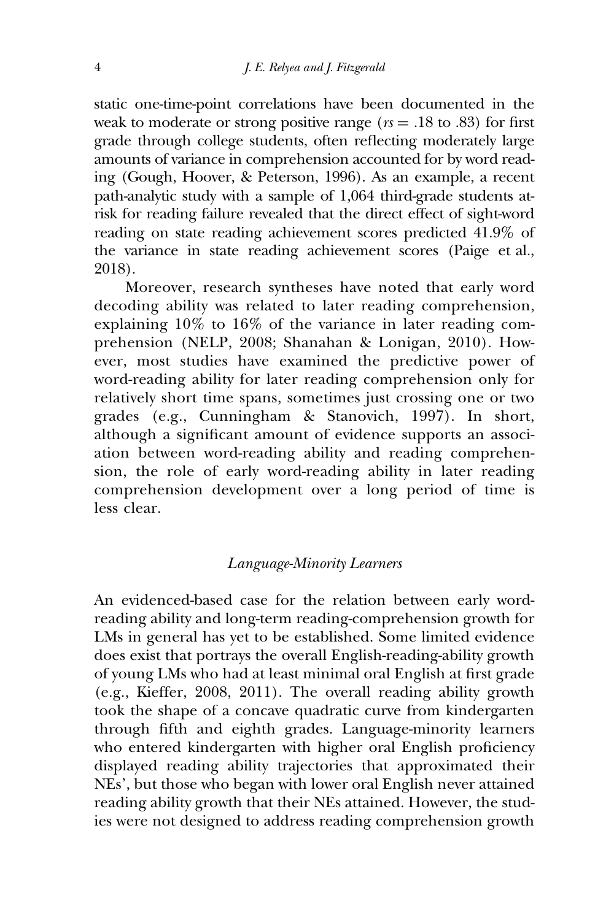static one-time-point correlations have been documented in the weak to moderate or strong positive range ( $rs = .18$  to .83) for first grade through college students, often reflecting moderately large amounts of variance in comprehension accounted for by word reading (Gough, Hoover, & Peterson, 1996). As an example, a recent path-analytic study with a sample of 1,064 third-grade students atrisk for reading failure revealed that the direct effect of sight-word reading on state reading achievement scores predicted 41.9% of the variance in state reading achievement scores (Paige et al., 2018).

Moreover, research syntheses have noted that early word decoding ability was related to later reading comprehension, explaining 10% to 16% of the variance in later reading comprehension (NELP, 2008; Shanahan & Lonigan, 2010). However, most studies have examined the predictive power of word-reading ability for later reading comprehension only for relatively short time spans, sometimes just crossing one or two grades (e.g., Cunningham & Stanovich, 1997). In short, although a significant amount of evidence supports an association between word-reading ability and reading comprehension, the role of early word-reading ability in later reading comprehension development over a long period of time is less clear.

## Language-Minority Learners

An evidenced-based case for the relation between early wordreading ability and long-term reading-comprehension growth for LMs in general has yet to be established. Some limited evidence does exist that portrays the overall English-reading-ability growth of young LMs who had at least minimal oral English at first grade (e.g., Kieffer, 2008, 2011). The overall reading ability growth took the shape of a concave quadratic curve from kindergarten through fifth and eighth grades. Language-minority learners who entered kindergarten with higher oral English proficiency displayed reading ability trajectories that approximated their NEs', but those who began with lower oral English never attained reading ability growth that their NEs attained. However, the studies were not designed to address reading comprehension growth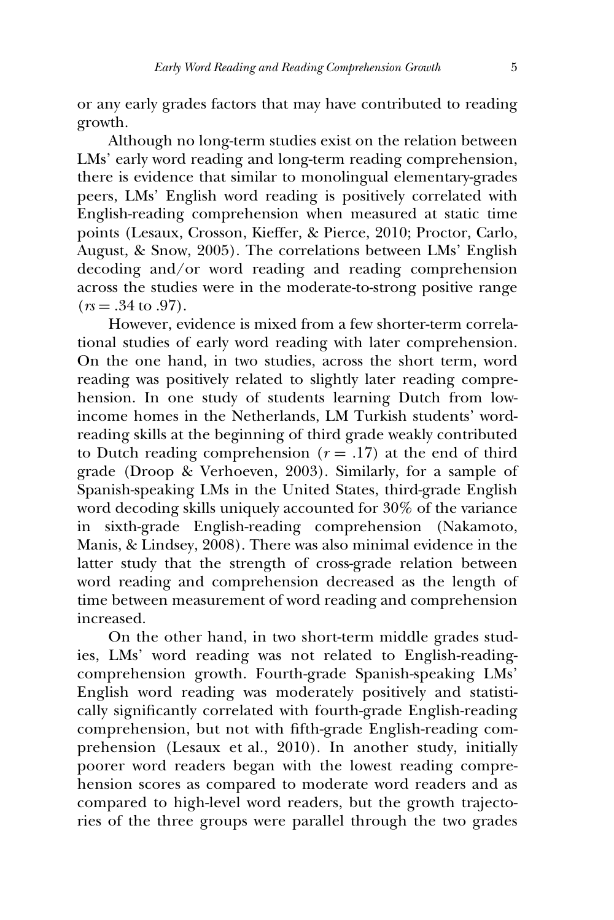or any early grades factors that may have contributed to reading growth.

Although no long-term studies exist on the relation between LMs' early word reading and long-term reading comprehension, there is evidence that similar to monolingual elementary-grades peers, LMs' English word reading is positively correlated with English-reading comprehension when measured at static time points (Lesaux, Crosson, Kieffer, & Pierce, 2010; Proctor, Carlo, August, & Snow, 2005). The correlations between LMs' English decoding and/or word reading and reading comprehension across the studies were in the moderate-to-strong positive range  $(r_s = .34 \text{ to } .97)$ .

However, evidence is mixed from a few shorter-term correlational studies of early word reading with later comprehension. On the one hand, in two studies, across the short term, word reading was positively related to slightly later reading comprehension. In one study of students learning Dutch from lowincome homes in the Netherlands, LM Turkish students' wordreading skills at the beginning of third grade weakly contributed to Dutch reading comprehension  $(r = .17)$  at the end of third grade (Droop & Verhoeven, 2003). Similarly, for a sample of Spanish-speaking LMs in the United States, third-grade English word decoding skills uniquely accounted for 30% of the variance in sixth-grade English-reading comprehension (Nakamoto, Manis, & Lindsey, 2008). There was also minimal evidence in the latter study that the strength of cross-grade relation between word reading and comprehension decreased as the length of time between measurement of word reading and comprehension increased.

On the other hand, in two short-term middle grades studies, LMs' word reading was not related to English-readingcomprehension growth. Fourth-grade Spanish-speaking LMs' English word reading was moderately positively and statistically significantly correlated with fourth-grade English-reading comprehension, but not with fifth-grade English-reading comprehension (Lesaux et al., 2010). In another study, initially poorer word readers began with the lowest reading comprehension scores as compared to moderate word readers and as compared to high-level word readers, but the growth trajectories of the three groups were parallel through the two grades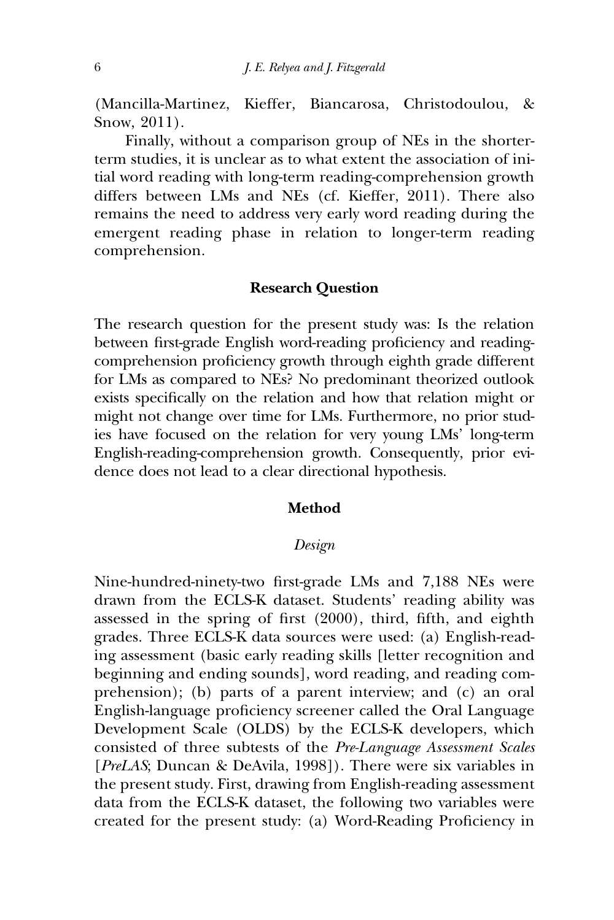(Mancilla-Martinez, Kieffer, Biancarosa, Christodoulou, & Snow, 2011).

Finally, without a comparison group of NEs in the shorterterm studies, it is unclear as to what extent the association of initial word reading with long-term reading-comprehension growth differs between LMs and NEs (cf. Kieffer, 2011). There also remains the need to address very early word reading during the emergent reading phase in relation to longer-term reading comprehension.

# Research Question

The research question for the present study was: Is the relation between first-grade English word-reading proficiency and readingcomprehension proficiency growth through eighth grade different for LMs as compared to NEs? No predominant theorized outlook exists specifically on the relation and how that relation might or might not change over time for LMs. Furthermore, no prior studies have focused on the relation for very young LMs' long-term English-reading-comprehension growth. Consequently, prior evidence does not lead to a clear directional hypothesis.

#### Method

#### Design

Nine-hundred-ninety-two first-grade LMs and 7,188 NEs were drawn from the ECLS-K dataset. Students' reading ability was assessed in the spring of first (2000), third, fifth, and eighth grades. Three ECLS-K data sources were used: (a) English-reading assessment (basic early reading skills [letter recognition and beginning and ending sounds], word reading, and reading comprehension); (b) parts of a parent interview; and (c) an oral English-language proficiency screener called the Oral Language Development Scale (OLDS) by the ECLS-K developers, which consisted of three subtests of the Pre-Language Assessment Scales [PreLAS; Duncan & DeAvila, 1998]). There were six variables in the present study. First, drawing from English-reading assessment data from the ECLS-K dataset, the following two variables were created for the present study: (a) Word-Reading Proficiency in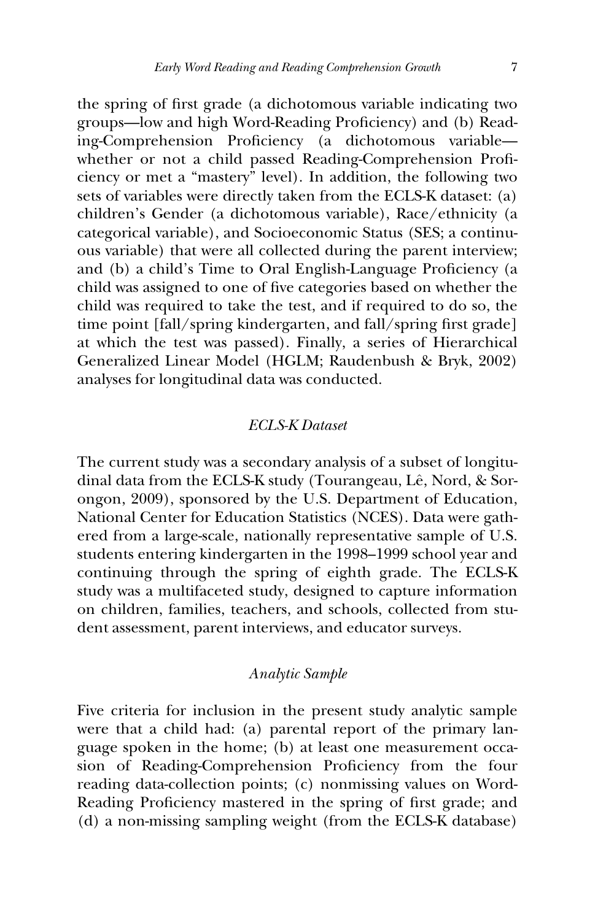the spring of first grade (a dichotomous variable indicating two groups—low and high Word-Reading Proficiency) and (b) Reading-Comprehension Proficiency (a dichotomous variable whether or not a child passed Reading-Comprehension Proficiency or met a "mastery" level). In addition, the following two sets of variables were directly taken from the ECLS-K dataset: (a) children's Gender (a dichotomous variable), Race/ethnicity (a categorical variable), and Socioeconomic Status (SES; a continuous variable) that were all collected during the parent interview; and (b) a child's Time to Oral English-Language Proficiency (a child was assigned to one of five categories based on whether the child was required to take the test, and if required to do so, the time point [fall/spring kindergarten, and fall/spring first grade] at which the test was passed). Finally, a series of Hierarchical Generalized Linear Model (HGLM; Raudenbush & Bryk, 2002) analyses for longitudinal data was conducted.

# ECLS-K Dataset

The current study was a secondary analysis of a subset of longitudinal data from the ECLS-K study (Tourangeau, Lê, Nord, & Sorongon, 2009), sponsored by the U.S. Department of Education, National Center for Education Statistics (NCES). Data were gathered from a large-scale, nationally representative sample of U.S. students entering kindergarten in the 1998–1999 school year and continuing through the spring of eighth grade. The ECLS-K study was a multifaceted study, designed to capture information on children, families, teachers, and schools, collected from student assessment, parent interviews, and educator surveys.

# Analytic Sample

Five criteria for inclusion in the present study analytic sample were that a child had: (a) parental report of the primary language spoken in the home; (b) at least one measurement occasion of Reading-Comprehension Proficiency from the four reading data-collection points; (c) nonmissing values on Word-Reading Proficiency mastered in the spring of first grade; and (d) a non-missing sampling weight (from the ECLS-K database)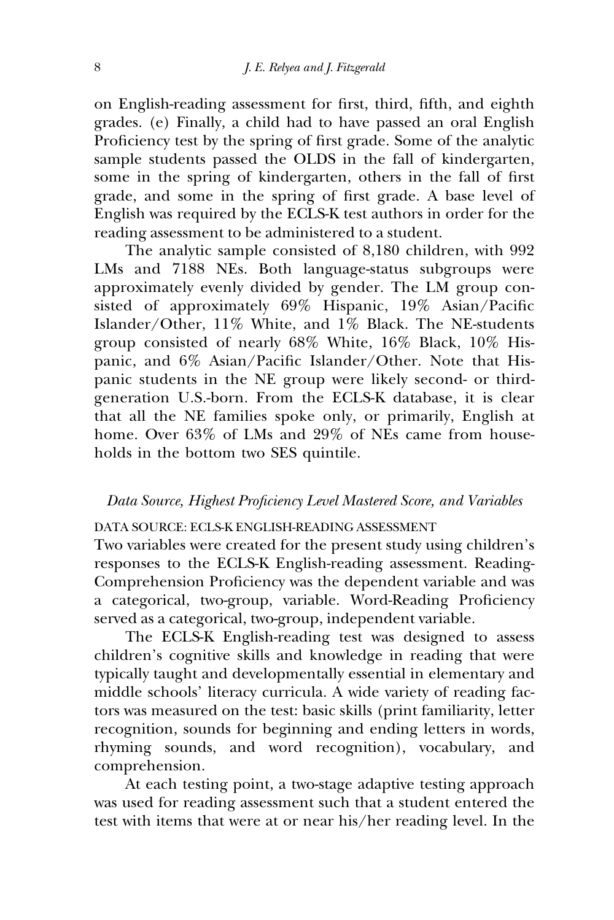on English-reading assessment for first, third, fifth, and eighth grades. (e) Finally, a child had to have passed an oral English Proficiency test by the spring of first grade. Some of the analytic sample students passed the OLDS in the fall of kindergarten, some in the spring of kindergarten, others in the fall of first grade, and some in the spring of first grade. A base level of English was required by the ECLS-K test authors in order for the reading assessment to be administered to a student.

The analytic sample consisted of 8,180 children, with 992 LMs and 7188 NEs. Both language-status subgroups were approximately evenly divided by gender. The LM group consisted of approximately 69% Hispanic, 19% Asian/Pacific Islander/Other, 11% White, and 1% Black. The NE-students group consisted of nearly 68% White, 16% Black, 10% Hispanic, and 6% Asian/Pacific Islander/Other. Note that Hispanic students in the NE group were likely second- or thirdgeneration U.S.-born. From the ECLS-K database, it is clear that all the NE families spoke only, or primarily, English at home. Over 63% of LMs and 29% of NEs came from households in the bottom two SES quintile.

#### Data Source, Highest Proficiency Level Mastered Score, and Variables

### DATA SOURCE: ECLS-K ENGLISH-READING ASSESSMENT

Two variables were created for the present study using children's responses to the ECLS-K English-reading assessment. Reading-Comprehension Proficiency was the dependent variable and was a categorical, two-group, variable. Word-Reading Proficiency served as a categorical, two-group, independent variable.

The ECLS-K English-reading test was designed to assess children's cognitive skills and knowledge in reading that were typically taught and developmentally essential in elementary and middle schools' literacy curricula. A wide variety of reading factors was measured on the test: basic skills (print familiarity, letter recognition, sounds for beginning and ending letters in words, rhyming sounds, and word recognition), vocabulary, and comprehension.

At each testing point, a two-stage adaptive testing approach was used for reading assessment such that a student entered the test with items that were at or near his/her reading level. In the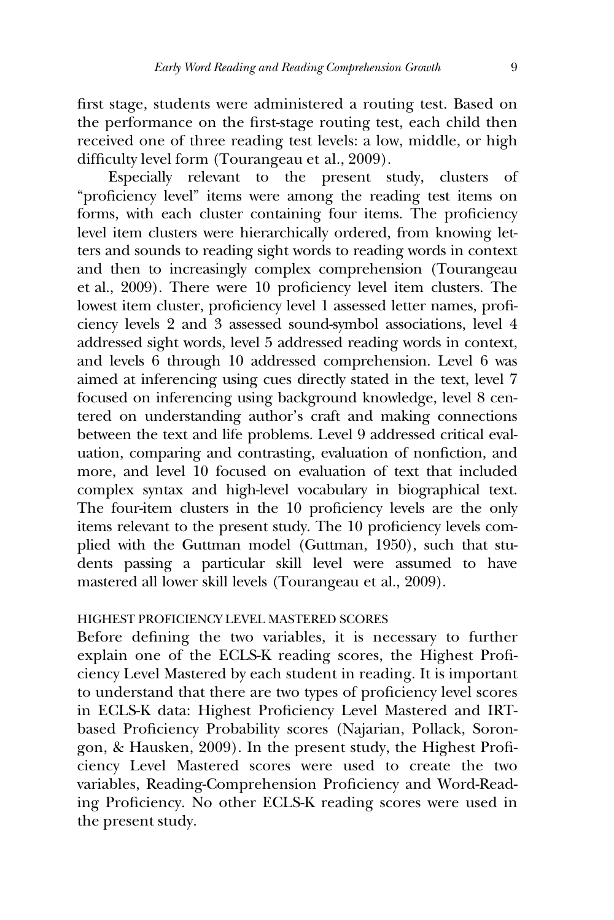first stage, students were administered a routing test. Based on the performance on the first-stage routing test, each child then received one of three reading test levels: a low, middle, or high difficulty level form (Tourangeau et al., 2009).

Especially relevant to the present study, clusters of "proficiency level" items were among the reading test items on forms, with each cluster containing four items. The proficiency level item clusters were hierarchically ordered, from knowing letters and sounds to reading sight words to reading words in context and then to increasingly complex comprehension (Tourangeau et al., 2009). There were 10 proficiency level item clusters. The lowest item cluster, proficiency level 1 assessed letter names, proficiency levels 2 and 3 assessed sound-symbol associations, level 4 addressed sight words, level 5 addressed reading words in context, and levels 6 through 10 addressed comprehension. Level 6 was aimed at inferencing using cues directly stated in the text, level 7 focused on inferencing using background knowledge, level 8 centered on understanding author's craft and making connections between the text and life problems. Level 9 addressed critical evaluation, comparing and contrasting, evaluation of nonfiction, and more, and level 10 focused on evaluation of text that included complex syntax and high-level vocabulary in biographical text. The four-item clusters in the 10 proficiency levels are the only items relevant to the present study. The 10 proficiency levels complied with the Guttman model (Guttman, 1950), such that students passing a particular skill level were assumed to have mastered all lower skill levels (Tourangeau et al., 2009).

# HIGHEST PROFICIENCY LEVEL MASTERED SCORES

Before defining the two variables, it is necessary to further explain one of the ECLS-K reading scores, the Highest Proficiency Level Mastered by each student in reading. It is important to understand that there are two types of proficiency level scores in ECLS-K data: Highest Proficiency Level Mastered and IRTbased Proficiency Probability scores (Najarian, Pollack, Sorongon, & Hausken, 2009). In the present study, the Highest Proficiency Level Mastered scores were used to create the two variables, Reading-Comprehension Proficiency and Word-Reading Proficiency. No other ECLS-K reading scores were used in the present study.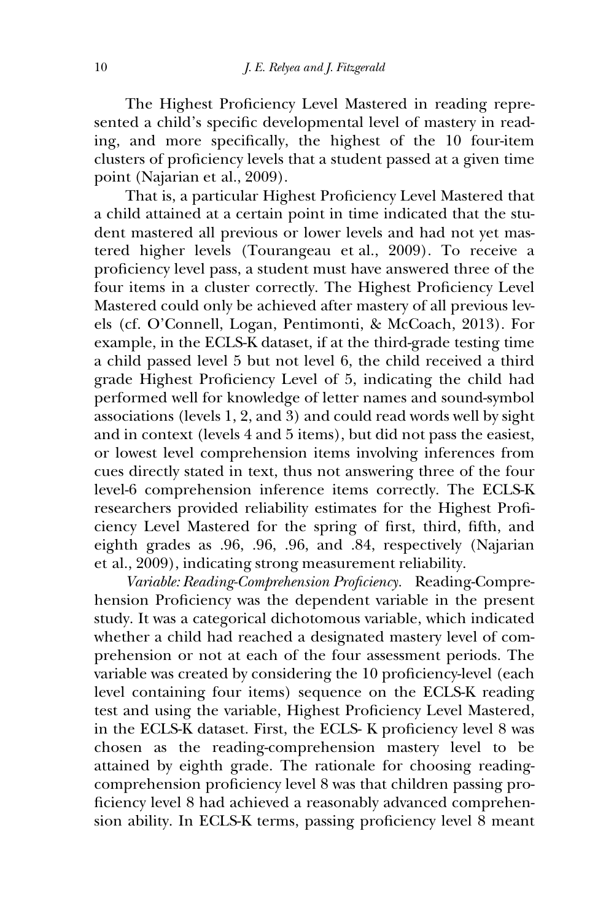The Highest Proficiency Level Mastered in reading represented a child's specific developmental level of mastery in reading, and more specifically, the highest of the 10 four-item clusters of proficiency levels that a student passed at a given time point (Najarian et al., 2009).

That is, a particular Highest Proficiency Level Mastered that a child attained at a certain point in time indicated that the student mastered all previous or lower levels and had not yet mastered higher levels (Tourangeau et al., 2009). To receive a proficiency level pass, a student must have answered three of the four items in a cluster correctly. The Highest Proficiency Level Mastered could only be achieved after mastery of all previous levels (cf. O'Connell, Logan, Pentimonti, & McCoach, 2013). For example, in the ECLS-K dataset, if at the third-grade testing time a child passed level 5 but not level 6, the child received a third grade Highest Proficiency Level of 5, indicating the child had performed well for knowledge of letter names and sound-symbol associations (levels 1, 2, and 3) and could read words well by sight and in context (levels 4 and 5 items), but did not pass the easiest, or lowest level comprehension items involving inferences from cues directly stated in text, thus not answering three of the four level-6 comprehension inference items correctly. The ECLS-K researchers provided reliability estimates for the Highest Proficiency Level Mastered for the spring of first, third, fifth, and eighth grades as .96, .96, .96, and .84, respectively (Najarian et al., 2009), indicating strong measurement reliability.

Variable: Reading-Comprehension Proficiency. Reading-Comprehension Proficiency was the dependent variable in the present study. It was a categorical dichotomous variable, which indicated whether a child had reached a designated mastery level of comprehension or not at each of the four assessment periods. The variable was created by considering the 10 proficiency-level (each level containing four items) sequence on the ECLS-K reading test and using the variable, Highest Proficiency Level Mastered, in the ECLS-K dataset. First, the ECLS- K proficiency level 8 was chosen as the reading-comprehension mastery level to be attained by eighth grade. The rationale for choosing readingcomprehension proficiency level 8 was that children passing proficiency level 8 had achieved a reasonably advanced comprehension ability. In ECLS-K terms, passing proficiency level 8 meant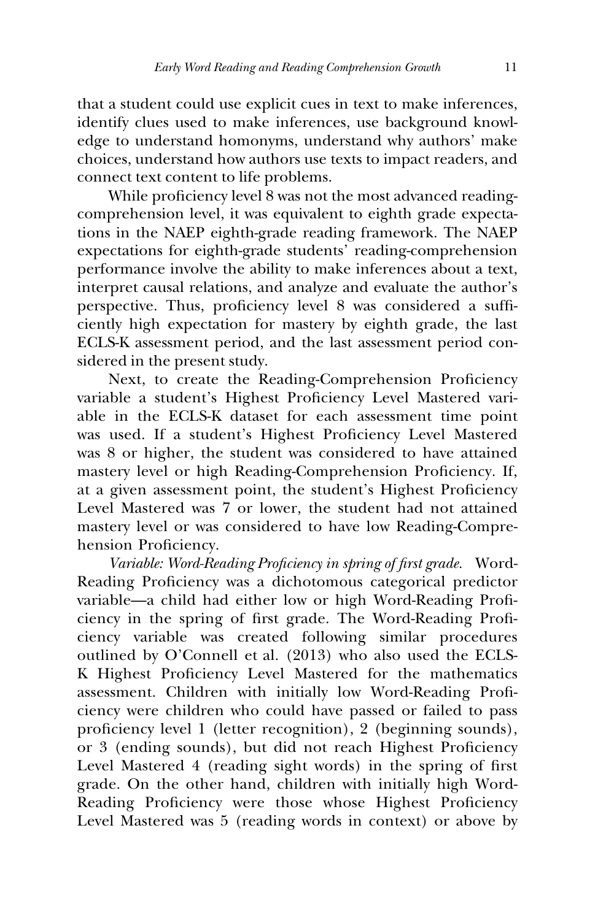that a student could use explicit cues in text to make inferences, identify clues used to make inferences, use background knowledge to understand homonyms, understand why authors' make choices, understand how authors use texts to impact readers, and connect text content to life problems.

While proficiency level 8 was not the most advanced readingcomprehension level, it was equivalent to eighth grade expectations in the NAEP eighth-grade reading framework. The NAEP expectations for eighth-grade students' reading-comprehension performance involve the ability to make inferences about a text, interpret causal relations, and analyze and evaluate the author's perspective. Thus, proficiency level 8 was considered a sufficiently high expectation for mastery by eighth grade, the last ECLS-K assessment period, and the last assessment period considered in the present study.

Next, to create the Reading-Comprehension Proficiency variable a student's Highest Proficiency Level Mastered variable in the ECLS-K dataset for each assessment time point was used. If a student's Highest Proficiency Level Mastered was 8 or higher, the student was considered to have attained mastery level or high Reading-Comprehension Proficiency. If, at a given assessment point, the student's Highest Proficiency Level Mastered was 7 or lower, the student had not attained mastery level or was considered to have low Reading-Comprehension Proficiency.

Variable: Word-Reading Proficiency in spring of first grade. Word-Reading Proficiency was a dichotomous categorical predictor variable—a child had either low or high Word-Reading Proficiency in the spring of first grade. The Word-Reading Proficiency variable was created following similar procedures outlined by O'Connell et al. (2013) who also used the ECLS-K Highest Proficiency Level Mastered for the mathematics assessment. Children with initially low Word-Reading Proficiency were children who could have passed or failed to pass proficiency level 1 (letter recognition), 2 (beginning sounds), or 3 (ending sounds), but did not reach Highest Proficiency Level Mastered 4 (reading sight words) in the spring of first grade. On the other hand, children with initially high Word-Reading Proficiency were those whose Highest Proficiency Level Mastered was 5 (reading words in context) or above by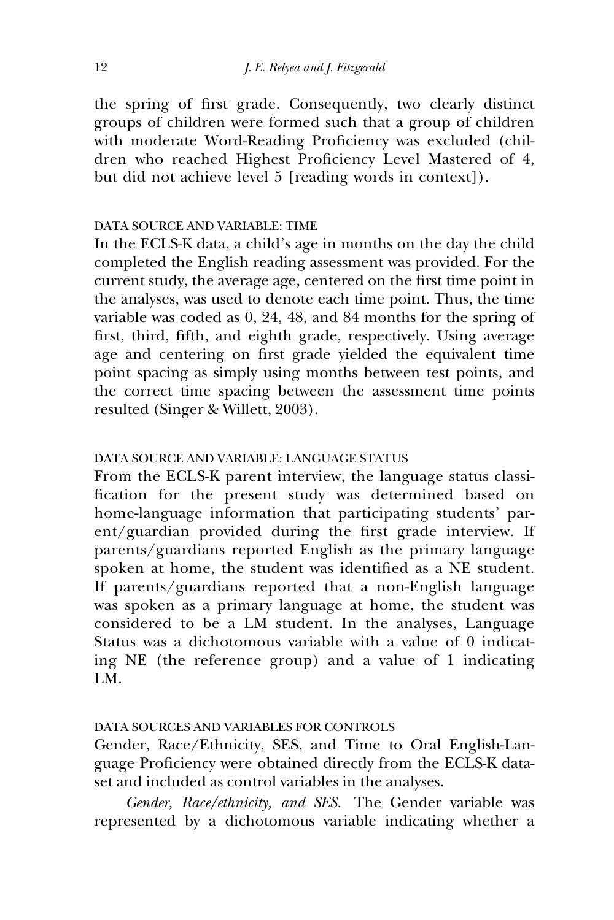the spring of first grade. Consequently, two clearly distinct groups of children were formed such that a group of children with moderate Word-Reading Proficiency was excluded (children who reached Highest Proficiency Level Mastered of 4, but did not achieve level 5 [reading words in context]).

## DATA SOURCE AND VARIABLE: TIME

In the ECLS-K data, a child's age in months on the day the child completed the English reading assessment was provided. For the current study, the average age, centered on the first time point in the analyses, was used to denote each time point. Thus, the time variable was coded as 0, 24, 48, and 84 months for the spring of first, third, fifth, and eighth grade, respectively. Using average age and centering on first grade yielded the equivalent time point spacing as simply using months between test points, and the correct time spacing between the assessment time points resulted (Singer & Willett, 2003).

# DATA SOURCE AND VARIABLE: LANGUAGE STATUS

From the ECLS-K parent interview, the language status classification for the present study was determined based on home-language information that participating students' parent/guardian provided during the first grade interview. If parents/guardians reported English as the primary language spoken at home, the student was identified as a NE student. If parents/guardians reported that a non-English language was spoken as a primary language at home, the student was considered to be a LM student. In the analyses, Language Status was a dichotomous variable with a value of 0 indicating NE (the reference group) and a value of 1 indicating  $LM$ 

# DATA SOURCES AND VARIABLES FOR CONTROLS

Gender, Race/Ethnicity, SES, and Time to Oral English-Language Proficiency were obtained directly from the ECLS-K dataset and included as control variables in the analyses.

Gender, Race/ethnicity, and SES. The Gender variable was represented by a dichotomous variable indicating whether a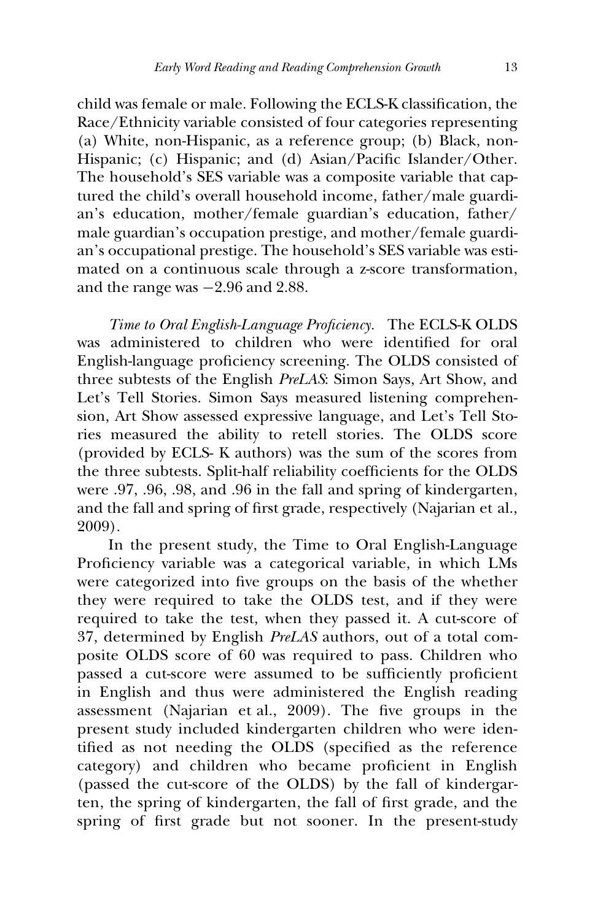child was female or male. Following the ECLS-K classification, the Race/Ethnicity variable consisted of four categories representing (a) White, non-Hispanic, as a reference group; (b) Black, non-Hispanic; (c) Hispanic; and (d) Asian/Pacific Islander/Other. The household's SES variable was a composite variable that captured the child's overall household income, father/male guardian's education, mother/female guardian's education, father/ male guardian's occupation prestige, and mother/female guardian's occupational prestige. The household's SES variable was estimated on a continuous scale through a z-score transformation, and the range was  $-2.96$  and 2.88.

Time to Oral English-Language Proficiency. The ECLS-K OLDS was administered to children who were identified for oral English-language proficiency screening. The OLDS consisted of three subtests of the English PreLAS: Simon Says, Art Show, and Let's Tell Stories. Simon Says measured listening comprehension, Art Show assessed expressive language, and Let's Tell Stories measured the ability to retell stories. The OLDS score (provided by ECLS- K authors) was the sum of the scores from the three subtests. Split-half reliability coefficients for the OLDS were .97, .96, .98, and .96 in the fall and spring of kindergarten, and the fall and spring of first grade, respectively (Najarian et al., 2009).

In the present study, the Time to Oral English-Language Proficiency variable was a categorical variable, in which LMs were categorized into five groups on the basis of the whether they were required to take the OLDS test, and if they were required to take the test, when they passed it. A cut-score of 37, determined by English PreLAS authors, out of a total composite OLDS score of 60 was required to pass. Children who passed a cut-score were assumed to be sufficiently proficient in English and thus were administered the English reading assessment (Najarian et al., 2009). The five groups in the present study included kindergarten children who were identified as not needing the OLDS (specified as the reference category) and children who became proficient in English (passed the cut-score of the OLDS) by the fall of kindergarten, the spring of kindergarten, the fall of first grade, and the spring of first grade but not sooner. In the present-study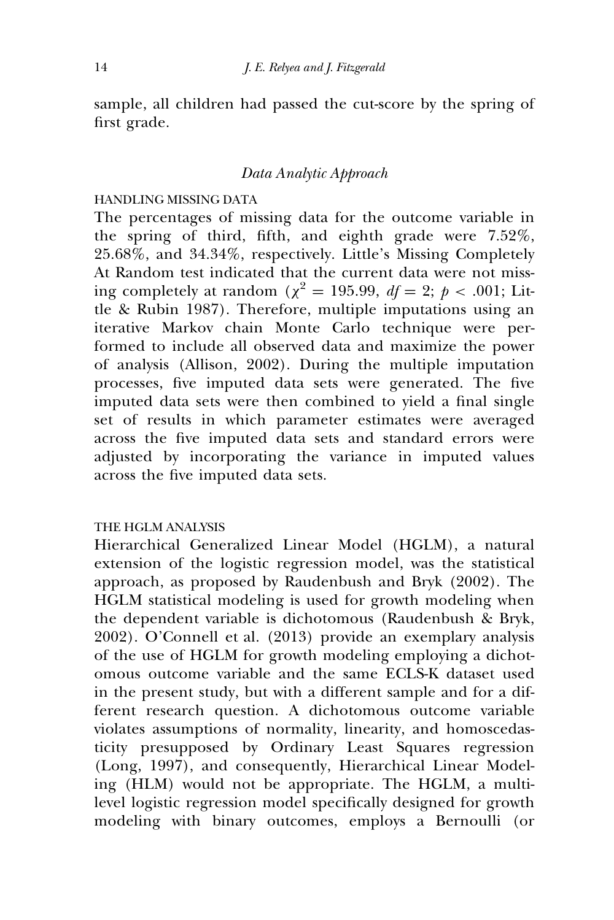sample, all children had passed the cut-score by the spring of first grade.

### Data Analytic Approach

# HANDLING MISSING DATA

The percentages of missing data for the outcome variable in the spring of third, fifth, and eighth grade were 7.52%, 25.68%, and 34.34%, respectively. Little's Missing Completely At Random test indicated that the current data were not missing completely at random ( $\chi^2 = 195.99$ ,  $df = 2$ ;  $p < .001$ ; Little & Rubin 1987). Therefore, multiple imputations using an iterative Markov chain Monte Carlo technique were performed to include all observed data and maximize the power of analysis (Allison, 2002). During the multiple imputation processes, five imputed data sets were generated. The five imputed data sets were then combined to yield a final single set of results in which parameter estimates were averaged across the five imputed data sets and standard errors were adjusted by incorporating the variance in imputed values across the five imputed data sets.

# THE HGLM ANALYSIS

Hierarchical Generalized Linear Model (HGLM), a natural extension of the logistic regression model, was the statistical approach, as proposed by Raudenbush and Bryk (2002). The HGLM statistical modeling is used for growth modeling when the dependent variable is dichotomous (Raudenbush & Bryk, 2002). O'Connell et al. (2013) provide an exemplary analysis of the use of HGLM for growth modeling employing a dichotomous outcome variable and the same ECLS-K dataset used in the present study, but with a different sample and for a different research question. A dichotomous outcome variable violates assumptions of normality, linearity, and homoscedasticity presupposed by Ordinary Least Squares regression (Long, 1997), and consequently, Hierarchical Linear Modeling (HLM) would not be appropriate. The HGLM, a multilevel logistic regression model specifically designed for growth modeling with binary outcomes, employs a Bernoulli (or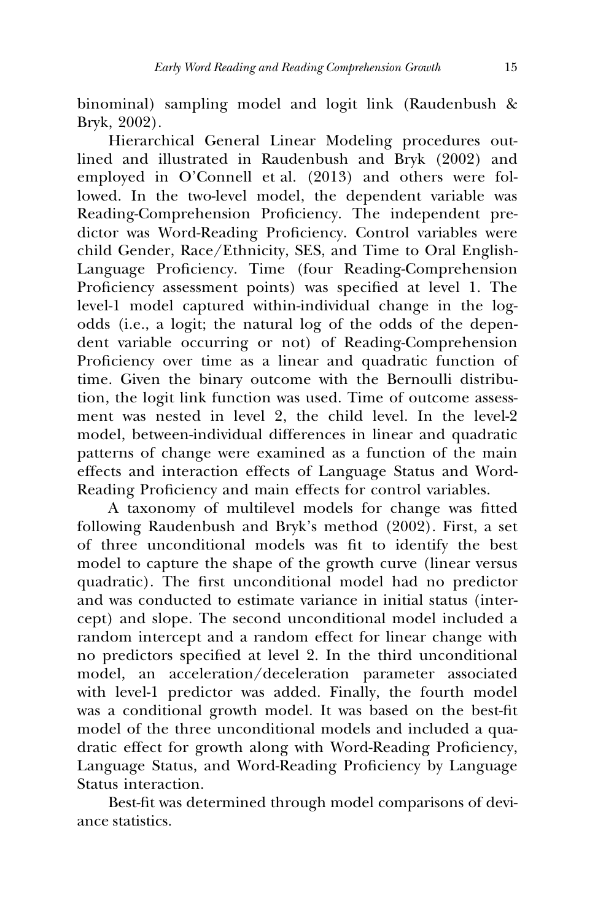binominal) sampling model and logit link (Raudenbush & Bryk, 2002).

Hierarchical General Linear Modeling procedures outlined and illustrated in Raudenbush and Bryk (2002) and employed in O'Connell et al. (2013) and others were followed. In the two-level model, the dependent variable was Reading-Comprehension Proficiency. The independent predictor was Word-Reading Proficiency. Control variables were child Gender, Race/Ethnicity, SES, and Time to Oral English-Language Proficiency. Time (four Reading-Comprehension Proficiency assessment points) was specified at level 1. The level-1 model captured within-individual change in the logodds (i.e., a logit; the natural log of the odds of the dependent variable occurring or not) of Reading-Comprehension Proficiency over time as a linear and quadratic function of time. Given the binary outcome with the Bernoulli distribution, the logit link function was used. Time of outcome assessment was nested in level 2, the child level. In the level-2 model, between-individual differences in linear and quadratic patterns of change were examined as a function of the main effects and interaction effects of Language Status and Word-Reading Proficiency and main effects for control variables.

A taxonomy of multilevel models for change was fitted following Raudenbush and Bryk's method (2002). First, a set of three unconditional models was fit to identify the best model to capture the shape of the growth curve (linear versus quadratic). The first unconditional model had no predictor and was conducted to estimate variance in initial status (intercept) and slope. The second unconditional model included a random intercept and a random effect for linear change with no predictors specified at level 2. In the third unconditional model, an acceleration/deceleration parameter associated with level-1 predictor was added. Finally, the fourth model was a conditional growth model. It was based on the best-fit model of the three unconditional models and included a quadratic effect for growth along with Word-Reading Proficiency, Language Status, and Word-Reading Proficiency by Language Status interaction.

Best-fit was determined through model comparisons of deviance statistics.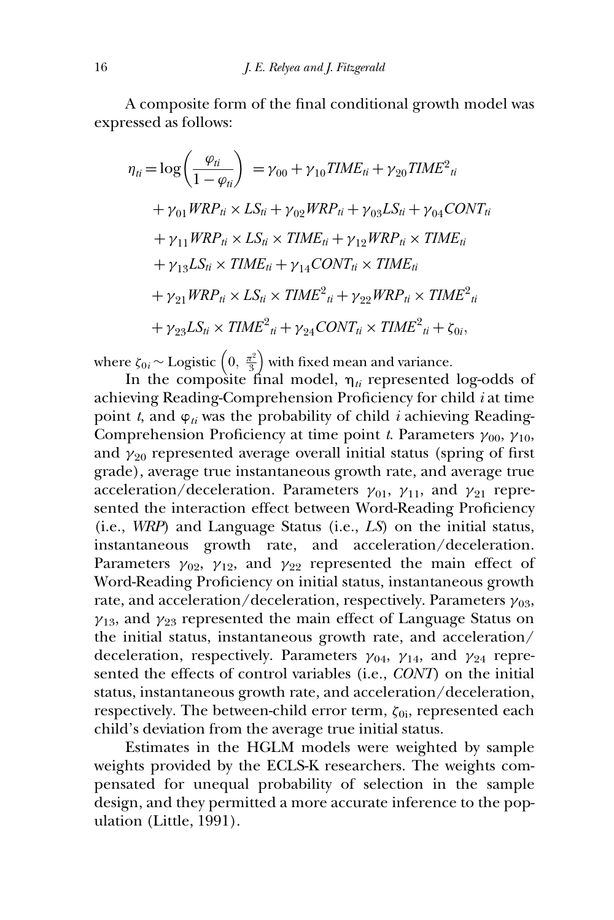A composite form of the final conditional growth model was expressed as follows:

$$
\eta_{ti} = \log\left(\frac{\varphi_{ti}}{1 - \varphi_{ti}}\right) = \gamma_{00} + \gamma_{10} TIME_{ti} + \gamma_{20} TIME_{ti}^2
$$
  
+  $\gamma_{01} WRP_{ti} \times LS_{ti} + \gamma_{02} WRP_{ti} + \gamma_{03} LS_{ti} + \gamma_{04} CONT_{ti}$   
+  $\gamma_{11} WRP_{ti} \times LS_{ti} \times TIME_{ti} + \gamma_{12} WRP_{ti} \times TIME_{ti}$   
+  $\gamma_{13} LS_{ti} \times TIME_{ti} + \gamma_{14} CONT_{ti} \times TIME_{ti}$   
+  $\gamma_{21} WRP_{ti} \times LS_{ti} \times TIME_{ti}^2 + \gamma_{22} WRP_{ti} \times TIME_{ti}^2$   
+  $\gamma_{23} LS_{ti} \times TIME_{ti}^2 + \gamma_{24} CONT_{ti} \times TIME_{ti}^2 + \zeta_{0i}$ ,

where  $\zeta_{0i} \sim$  Logistic  $\left(0, \frac{\pi^2}{3}\right)$  with fixed mean and variance.

In the composite final model,  $\eta_{ti}$  represented log-odds of achieving Reading-Comprehension Proficiency for child i at time point t, and  $\varphi_{ti}$  was the probability of child i achieving Reading-Comprehension Proficiency at time point t. Parameters  $\gamma_{00}$ ,  $\gamma_{10}$ , and  $\gamma_{20}$  represented average overall initial status (spring of first grade), average true instantaneous growth rate, and average true acceleration/deceleration. Parameters  $\gamma_{01}$ ,  $\gamma_{11}$ , and  $\gamma_{21}$  represented the interaction effect between Word-Reading Proficiency (i.e., WRP) and Language Status (i.e., LS) on the initial status, instantaneous growth rate, and acceleration/deceleration. Parameters  $\gamma_{02}$ ,  $\gamma_{12}$ , and  $\gamma_{22}$  represented the main effect of Word-Reading Proficiency on initial status, instantaneous growth rate, and acceleration/deceleration, respectively. Parameters  $\gamma_{03}$ ,  $\gamma_{13}$ , and  $\gamma_{23}$  represented the main effect of Language Status on the initial status, instantaneous growth rate, and acceleration/ deceleration, respectively. Parameters  $\gamma_{04}$ ,  $\gamma_{14}$ , and  $\gamma_{24}$  represented the effects of control variables (i.e., CONT) on the initial status, instantaneous growth rate, and acceleration/deceleration, respectively. The between-child error term,  $\zeta_{0i}$ , represented each child's deviation from the average true initial status.

Estimates in the HGLM models were weighted by sample weights provided by the ECLS-K researchers. The weights compensated for unequal probability of selection in the sample design, and they permitted a more accurate inference to the population (Little, 1991).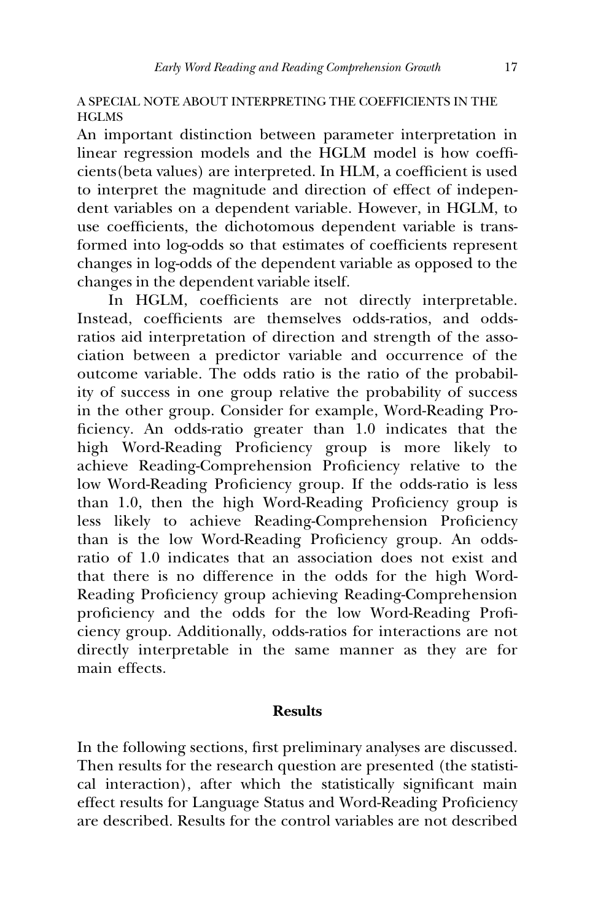# A SPECIAL NOTE ABOUT INTERPRETING THE COEFFICIENTS IN THE HGLMS

An important distinction between parameter interpretation in linear regression models and the HGLM model is how coefficients(beta values) are interpreted. In HLM, a coefficient is used to interpret the magnitude and direction of effect of independent variables on a dependent variable. However, in HGLM, to use coefficients, the dichotomous dependent variable is transformed into log-odds so that estimates of coefficients represent changes in log-odds of the dependent variable as opposed to the changes in the dependent variable itself.

In HGLM, coefficients are not directly interpretable. Instead, coefficients are themselves odds-ratios, and oddsratios aid interpretation of direction and strength of the association between a predictor variable and occurrence of the outcome variable. The odds ratio is the ratio of the probability of success in one group relative the probability of success in the other group. Consider for example, Word-Reading Proficiency. An odds-ratio greater than 1.0 indicates that the high Word-Reading Proficiency group is more likely to achieve Reading-Comprehension Proficiency relative to the low Word-Reading Proficiency group. If the odds-ratio is less than 1.0, then the high Word-Reading Proficiency group is less likely to achieve Reading-Comprehension Proficiency than is the low Word-Reading Proficiency group. An oddsratio of 1.0 indicates that an association does not exist and that there is no difference in the odds for the high Word-Reading Proficiency group achieving Reading-Comprehension proficiency and the odds for the low Word-Reading Proficiency group. Additionally, odds-ratios for interactions are not directly interpretable in the same manner as they are for main effects.

## **Results**

In the following sections, first preliminary analyses are discussed. Then results for the research question are presented (the statistical interaction), after which the statistically significant main effect results for Language Status and Word-Reading Proficiency are described. Results for the control variables are not described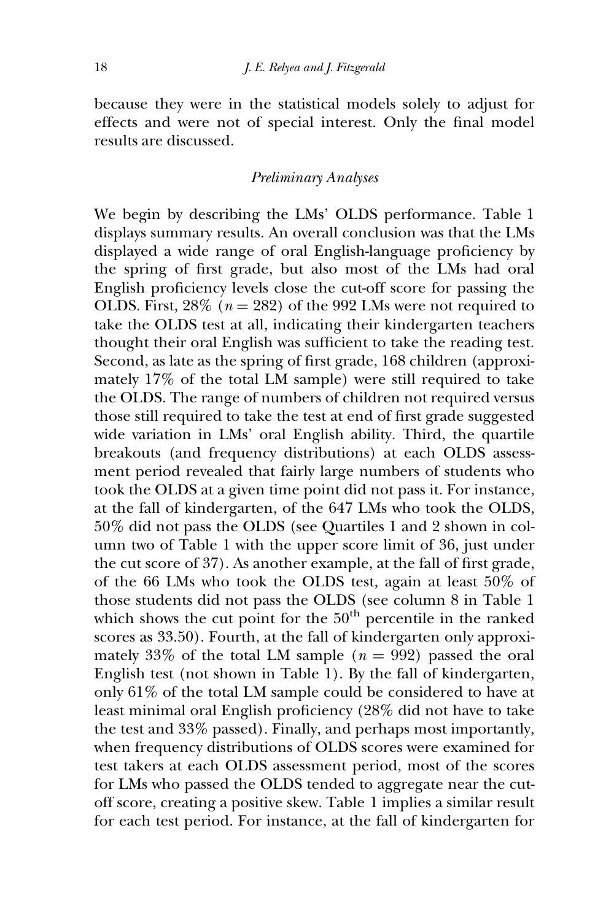because they were in the statistical models solely to adjust for effects and were not of special interest. Only the final model results are discussed.

## Preliminary Analyses

We begin by describing the LMs' OLDS performance. Table 1 displays summary results. An overall conclusion was that the LMs displayed a wide range of oral English-language proficiency by the spring of first grade, but also most of the LMs had oral English proficiency levels close the cut-off score for passing the OLDS. First,  $28\%$  ( $n = 282$ ) of the 992 LMs were not required to take the OLDS test at all, indicating their kindergarten teachers thought their oral English was sufficient to take the reading test. Second, as late as the spring of first grade, 168 children (approximately 17% of the total LM sample) were still required to take the OLDS. The range of numbers of children not required versus those still required to take the test at end of first grade suggested wide variation in LMs' oral English ability. Third, the quartile breakouts (and frequency distributions) at each OLDS assessment period revealed that fairly large numbers of students who took the OLDS at a given time point did not pass it. For instance, at the fall of kindergarten, of the 647 LMs who took the OLDS, 50% did not pass the OLDS (see Quartiles 1 and 2 shown in column two of Table 1 with the upper score limit of 36, just under the cut score of 37). As another example, at the fall of first grade, of the 66 LMs who took the OLDS test, again at least 50% of those students did not pass the OLDS (see column 8 in Table 1 which shows the cut point for the  $50<sup>th</sup>$  percentile in the ranked scores as 33.50). Fourth, at the fall of kindergarten only approximately 33% of the total LM sample  $(n = 992)$  passed the oral English test (not shown in Table 1). By the fall of kindergarten, only 61% of the total LM sample could be considered to have at least minimal oral English proficiency (28% did not have to take the test and 33% passed). Finally, and perhaps most importantly, when frequency distributions of OLDS scores were examined for test takers at each OLDS assessment period, most of the scores for LMs who passed the OLDS tended to aggregate near the cutoff score, creating a positive skew. Table 1 implies a similar result for each test period. For instance, at the fall of kindergarten for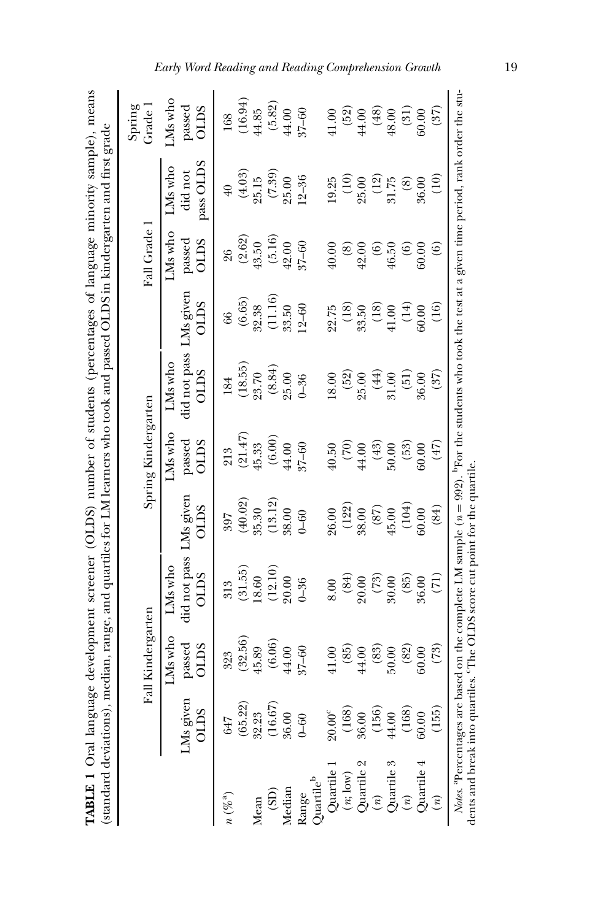| ann.<br>í<br>$\overline{\phantom{a}}$<br>.<br>.<br>.<br>.<br>ı<br>ì<br>i<br>.<br>?<br>֧֚֚֝<br>֧֧֧֧֦֧֧֚֚֚֚֚֚֚֚֚֚֚֚֚֚֚֚֚֚֚֝֝֓֝֬֝֟֓֡֝֬<br>ł<br>くくくくしょ<br>j<br>ú<br>.<br>Cancer<br>ļ<br>.<br>.<br>.<br>1 | I<br><b>Second Contract</b><br>ļ<br>j<br>ļ<br>j<br>I<br>١<br>l<br>.<br>.<br>.<br>.<br>Ì |
|------------------------------------------------------------------------------------------------------------------------------------------------------------------------------------------------------|-----------------------------------------------------------------------------------------|
| Ç<br>ו<br>1<br>ג<br>֧֧֦֧֧ׅ֧֧֧֦֧֧֦֧֧֧֧ׅ֧֧ׅ֧֧֧ׅ֧֧֧֧֧֧֧֚֚֚֚֚֚֚֚֚֚֚֚֚֚֚֚֝֝֜֡֓֜֓֓֝֓֓֓֓֓֜֓֓֜֓֓֜֓֝֬֝֬֝֬֝֬<br>J                                                                                              |                                                                                         |
| i<br>5<br>ī                                                                                                                                                                                          | .<br>.<br>.<br>.<br>こてらし りそうちょう こうてつりょく                                                 |
| ij<br>֖֖֖֧ׅ֪ׅׅ֖֖֖֖֧ׅ֪֪֪֪֪֪֪֪ׅ֖֚֚֚֚֚֚֚֚֚֚֚֚֚֚֚֚֚֚֚֚֚֚֚֚֚֚֚֚֚֚֚֡֝֝֬֓֝<br>l<br>5141<br>ţ                                                                                                                | ì<br>ļ                                                                                  |
| $\epsilon$                                                                                                                                                                                           | i<br>İ<br>į<br>ļ<br>:<br>ו<br>i                                                         |

| LMs who<br>$(5.16)$ $42.00$<br>$\begin{array}{c} (2.62) \\ 43.50 \end{array}$<br>passed<br><b>OLDS</b><br>$37 - 60$<br>10.00<br>46.50<br>12.00<br>50.00<br>$\circledast$<br>$\widehat{\mathfrak{S}}$<br>$\widehat{\mathfrak{S}}$<br>26<br>LMs given<br>$\begin{array}{c} (6.65) \\ 32.38 \\ (11.16) \\ 33.50 \end{array}$<br>SCTC<br>$12 - 60$<br>(18)<br>22.75<br>(18)<br>(14)<br>33.50<br>50.00<br>$\pm 0.00$<br>66<br>did not pass<br>LMs who<br>$(18.55)$ $23.70$<br>$(8.84)$<br>25.00<br><b>OLDS</b><br>$(52)$<br>(44)<br>18.00<br>25.00<br>31.00<br>36.00<br>$0 - 36$<br>(51)<br>184<br>LMs who<br>$(21.47)$<br>45.33<br>$\begin{array}{c} (6.00) \\ 44.00 \end{array}$<br>passed<br>SCLIC<br>$37 - 60$<br>(0.74)<br>$(43)$<br>$50.00$<br>(53)<br>10.50<br>60.00<br>213<br>LMs given<br>$\begin{array}{c} (13.12) \\ 38.00 \end{array}$<br>$(40.02)$<br>35.30<br>(122)<br>SCTC<br>(104)<br>$(87)$<br>38.00<br>50.00<br>26.00<br>45.00<br>$0-60$<br>597<br>did not pass<br>LMs who<br>$(12.10)$<br>$20.00$<br>$\frac{(31.55)}{18.60}$<br><b>OLIOS</b><br>$\begin{array}{c} (84) \\ 20.00 \end{array}$<br>(85)<br>$\begin{array}{c} (73) \\ 30.00 \end{array}$<br>86.00<br>$-36$<br>8.00<br>313<br>LMs who<br>(32.56)<br>(6.06)<br>passed<br>SCLIO<br>45.89<br>44.00<br>$37 - 60$<br>(85)<br>$(82)$<br>(83)<br>44.00<br>50.00<br>0.01<br>60.00<br>323<br>LMs given<br>$(65.22)$<br>$32.23$<br>$(16.67)$<br>36.00<br>$\frac{6}{6}$<br>68)<br><b>SC</b><br>$\circledS$<br>$\sum_{\alpha}^{\infty}$<br>$\beta$<br>$\infty$<br>$0 - 60$<br>647<br>36.<br>JJ<br>$\frac{4}{4}$<br>Quartile 2<br>Quartile 3<br>$(n)$<br>Quartile 4<br>$Quartile 1$<br>$(n; low)$<br>$\mathrm{Quartile}^\mathrm{b}$<br>Median<br>$\qquad \qquad \textbf{(SD)}$<br>Range<br>$n\,(\%)^{\rm a}$<br>Mean<br>$\binom{n}{k}$ |                          |     | Fall Kindergarten |      |      | Spring Kindergarten |      |      | Fall Grade 1           |                                                                   | Grade 1<br>Spring                              |
|----------------------------------------------------------------------------------------------------------------------------------------------------------------------------------------------------------------------------------------------------------------------------------------------------------------------------------------------------------------------------------------------------------------------------------------------------------------------------------------------------------------------------------------------------------------------------------------------------------------------------------------------------------------------------------------------------------------------------------------------------------------------------------------------------------------------------------------------------------------------------------------------------------------------------------------------------------------------------------------------------------------------------------------------------------------------------------------------------------------------------------------------------------------------------------------------------------------------------------------------------------------------------------------------------------------------------------------------------------------------------------------------------------------------------------------------------------------------------------------------------------------------------------------------------------------------------------------------------------------------------------------------------------------------------------------------------------------------------------------------------------------------------------------------------|--------------------------|-----|-------------------|------|------|---------------------|------|------|------------------------|-------------------------------------------------------------------|------------------------------------------------|
|                                                                                                                                                                                                                                                                                                                                                                                                                                                                                                                                                                                                                                                                                                                                                                                                                                                                                                                                                                                                                                                                                                                                                                                                                                                                                                                                                                                                                                                                                                                                                                                                                                                                                                                                                                                                    |                          |     |                   |      |      |                     |      |      |                        | LMs who                                                           | LMs who                                        |
|                                                                                                                                                                                                                                                                                                                                                                                                                                                                                                                                                                                                                                                                                                                                                                                                                                                                                                                                                                                                                                                                                                                                                                                                                                                                                                                                                                                                                                                                                                                                                                                                                                                                                                                                                                                                    |                          |     |                   |      |      |                     |      |      |                        | did not                                                           | passed                                         |
|                                                                                                                                                                                                                                                                                                                                                                                                                                                                                                                                                                                                                                                                                                                                                                                                                                                                                                                                                                                                                                                                                                                                                                                                                                                                                                                                                                                                                                                                                                                                                                                                                                                                                                                                                                                                    |                          |     |                   |      |      |                     |      |      |                        | pass OLDS                                                         | SCTIC                                          |
|                                                                                                                                                                                                                                                                                                                                                                                                                                                                                                                                                                                                                                                                                                                                                                                                                                                                                                                                                                                                                                                                                                                                                                                                                                                                                                                                                                                                                                                                                                                                                                                                                                                                                                                                                                                                    |                          |     |                   |      |      |                     |      |      |                        | $\overline{6}$                                                    | 168                                            |
|                                                                                                                                                                                                                                                                                                                                                                                                                                                                                                                                                                                                                                                                                                                                                                                                                                                                                                                                                                                                                                                                                                                                                                                                                                                                                                                                                                                                                                                                                                                                                                                                                                                                                                                                                                                                    |                          |     |                   |      |      |                     |      |      |                        |                                                                   |                                                |
|                                                                                                                                                                                                                                                                                                                                                                                                                                                                                                                                                                                                                                                                                                                                                                                                                                                                                                                                                                                                                                                                                                                                                                                                                                                                                                                                                                                                                                                                                                                                                                                                                                                                                                                                                                                                    |                          |     |                   |      |      |                     |      |      |                        |                                                                   | $(16.94)$<br>44.85                             |
|                                                                                                                                                                                                                                                                                                                                                                                                                                                                                                                                                                                                                                                                                                                                                                                                                                                                                                                                                                                                                                                                                                                                                                                                                                                                                                                                                                                                                                                                                                                                                                                                                                                                                                                                                                                                    |                          |     |                   |      |      |                     |      |      |                        | $\begin{array}{c} (4.03) \\ 25.15 \\ (7.39) \\ 25.00 \end{array}$ | $\begin{array}{c} (5.82) \\ 44.00 \end{array}$ |
|                                                                                                                                                                                                                                                                                                                                                                                                                                                                                                                                                                                                                                                                                                                                                                                                                                                                                                                                                                                                                                                                                                                                                                                                                                                                                                                                                                                                                                                                                                                                                                                                                                                                                                                                                                                                    |                          |     |                   |      |      |                     |      |      |                        |                                                                   |                                                |
|                                                                                                                                                                                                                                                                                                                                                                                                                                                                                                                                                                                                                                                                                                                                                                                                                                                                                                                                                                                                                                                                                                                                                                                                                                                                                                                                                                                                                                                                                                                                                                                                                                                                                                                                                                                                    |                          |     |                   |      |      |                     |      |      |                        | $12 - 36$                                                         | $37 - 60$                                      |
|                                                                                                                                                                                                                                                                                                                                                                                                                                                                                                                                                                                                                                                                                                                                                                                                                                                                                                                                                                                                                                                                                                                                                                                                                                                                                                                                                                                                                                                                                                                                                                                                                                                                                                                                                                                                    |                          |     |                   |      |      |                     |      |      |                        |                                                                   |                                                |
|                                                                                                                                                                                                                                                                                                                                                                                                                                                                                                                                                                                                                                                                                                                                                                                                                                                                                                                                                                                                                                                                                                                                                                                                                                                                                                                                                                                                                                                                                                                                                                                                                                                                                                                                                                                                    |                          |     |                   |      |      |                     |      |      |                        | 0.25                                                              | 1.00                                           |
|                                                                                                                                                                                                                                                                                                                                                                                                                                                                                                                                                                                                                                                                                                                                                                                                                                                                                                                                                                                                                                                                                                                                                                                                                                                                                                                                                                                                                                                                                                                                                                                                                                                                                                                                                                                                    |                          |     |                   |      |      |                     |      |      |                        | (10)                                                              | $(52)$                                         |
|                                                                                                                                                                                                                                                                                                                                                                                                                                                                                                                                                                                                                                                                                                                                                                                                                                                                                                                                                                                                                                                                                                                                                                                                                                                                                                                                                                                                                                                                                                                                                                                                                                                                                                                                                                                                    |                          |     |                   |      |      |                     |      |      |                        | 25.00                                                             | $\pm 0.0$                                      |
|                                                                                                                                                                                                                                                                                                                                                                                                                                                                                                                                                                                                                                                                                                                                                                                                                                                                                                                                                                                                                                                                                                                                                                                                                                                                                                                                                                                                                                                                                                                                                                                                                                                                                                                                                                                                    |                          |     |                   |      |      |                     |      |      |                        |                                                                   | $^{(48)}$                                      |
|                                                                                                                                                                                                                                                                                                                                                                                                                                                                                                                                                                                                                                                                                                                                                                                                                                                                                                                                                                                                                                                                                                                                                                                                                                                                                                                                                                                                                                                                                                                                                                                                                                                                                                                                                                                                    |                          |     |                   |      |      |                     |      |      |                        | $(12)$<br>31.75                                                   | 48.00                                          |
|                                                                                                                                                                                                                                                                                                                                                                                                                                                                                                                                                                                                                                                                                                                                                                                                                                                                                                                                                                                                                                                                                                                                                                                                                                                                                                                                                                                                                                                                                                                                                                                                                                                                                                                                                                                                    |                          |     |                   |      |      |                     |      |      |                        | $\circledS$                                                       | $\left( 31\right)$                             |
|                                                                                                                                                                                                                                                                                                                                                                                                                                                                                                                                                                                                                                                                                                                                                                                                                                                                                                                                                                                                                                                                                                                                                                                                                                                                                                                                                                                                                                                                                                                                                                                                                                                                                                                                                                                                    |                          |     |                   |      |      |                     |      |      |                        | 36.00                                                             | 0.00                                           |
|                                                                                                                                                                                                                                                                                                                                                                                                                                                                                                                                                                                                                                                                                                                                                                                                                                                                                                                                                                                                                                                                                                                                                                                                                                                                                                                                                                                                                                                                                                                                                                                                                                                                                                                                                                                                    | $\widehat{\mathfrak{m}}$ | 55) | (73)              | (71) | (84) | (47)                | (37) | (16) | $\widehat{\mathbf{e}}$ | $\left(10\right)$                                                 | (37)                                           |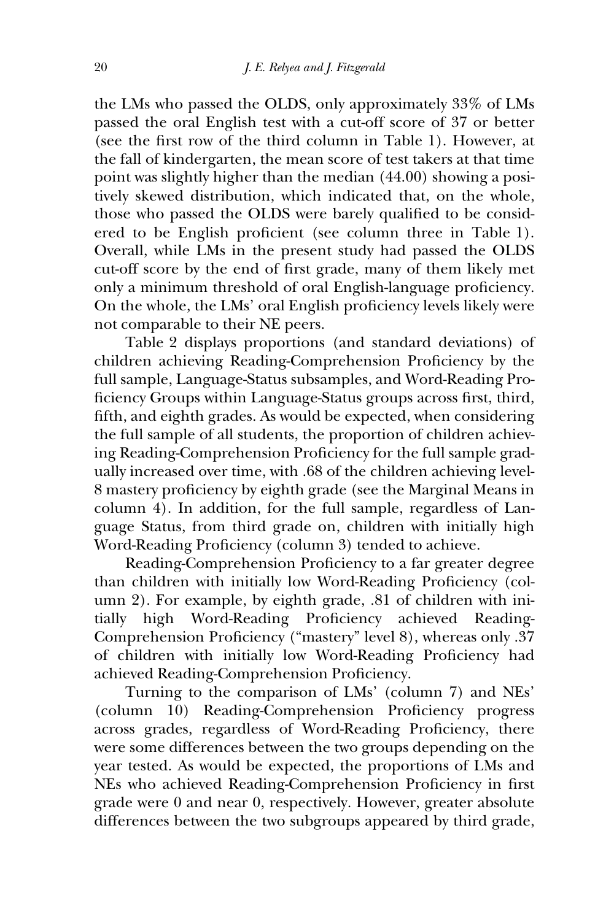the LMs who passed the OLDS, only approximately 33% of LMs passed the oral English test with a cut-off score of 37 or better (see the first row of the third column in Table 1). However, at the fall of kindergarten, the mean score of test takers at that time point was slightly higher than the median (44.00) showing a positively skewed distribution, which indicated that, on the whole, those who passed the OLDS were barely qualified to be considered to be English proficient (see column three in Table 1). Overall, while LMs in the present study had passed the OLDS cut-off score by the end of first grade, many of them likely met only a minimum threshold of oral English-language proficiency. On the whole, the LMs' oral English proficiency levels likely were not comparable to their NE peers.

Table 2 displays proportions (and standard deviations) of children achieving Reading-Comprehension Proficiency by the full sample, Language-Status subsamples, and Word-Reading Proficiency Groups within Language-Status groups across first, third, fifth, and eighth grades. As would be expected, when considering the full sample of all students, the proportion of children achieving Reading-Comprehension Proficiency for the full sample gradually increased over time, with .68 of the children achieving level-8 mastery proficiency by eighth grade (see the Marginal Means in column 4). In addition, for the full sample, regardless of Language Status, from third grade on, children with initially high Word-Reading Proficiency (column 3) tended to achieve.

Reading-Comprehension Proficiency to a far greater degree than children with initially low Word-Reading Proficiency (column 2). For example, by eighth grade, .81 of children with initially high Word-Reading Proficiency achieved Reading-Comprehension Proficiency ("mastery" level 8), whereas only .37 of children with initially low Word-Reading Proficiency had achieved Reading-Comprehension Proficiency.

Turning to the comparison of LMs' (column 7) and NEs' (column 10) Reading-Comprehension Proficiency progress across grades, regardless of Word-Reading Proficiency, there were some differences between the two groups depending on the year tested. As would be expected, the proportions of LMs and NEs who achieved Reading-Comprehension Proficiency in first grade were 0 and near 0, respectively. However, greater absolute differences between the two subgroups appeared by third grade,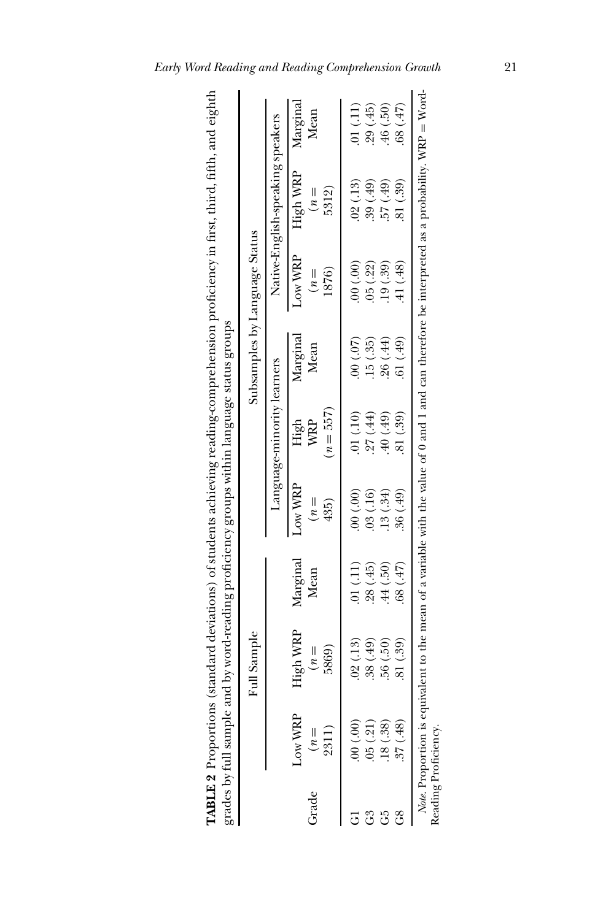| l<br>)<br>،<br>ما<br>こく<br>$E_{cont}$ . |        |
|-----------------------------------------|--------|
| .<br>.<br>.                             | ;<br>ג |
|                                         |        |
| į                                       | ١      |
| - 11<br>11<br>.<br>.<br>.               |        |
| $\frac{1}{2}$<br>ł                      |        |
| l<br>l<br>$\mathbf{r}$<br>ŕ             | Ç<br>j |

|         |                           | Full Sample                                                                                                                                       |                  |                          |                            |                  | Subsamples by Language Status |                                       |                  |
|---------|---------------------------|---------------------------------------------------------------------------------------------------------------------------------------------------|------------------|--------------------------|----------------------------|------------------|-------------------------------|---------------------------------------|------------------|
|         |                           |                                                                                                                                                   |                  |                          | Language-minority learners |                  |                               | Native-English-speaking speakers      |                  |
| Grade   | Low WRP<br>$(n =$<br>2311 | High WRP<br>$\equiv u$<br>5869                                                                                                                    | Marginal<br>Mean | Low WRP<br>$n =$<br>435) | $n = 557$<br>WRP<br>High   | Marginal<br>Mean | Low WRP<br>$n =$<br>1876)     | High WRP<br>$n =$<br>5312)            | Marginal<br>Mean |
| 5       | (00, 00)                  | .02(.13)                                                                                                                                          | $(11)$ D         | (00, 00)                 | (10)                       | (50)(00)         | (00, 00)                      | .02(.13)                              | (11)             |
| G3      | .05(.21)                  | .38(.49)                                                                                                                                          | (45)             | .03( .16)                | .27(.44)                   | (35, 15)         | 05(.22)                       | $\left( \frac{49}{2} \right)$<br>.39( | .29(.45)         |
| Ğ       | (.38)<br>.18 <sub>1</sub> | $\widetilde{50}$<br>.56(                                                                                                                          | $(05)$ } }.      | .13(.34)                 | (65.) 0f.                  | .26(.44)         | .19(.39)                      | $\bigoplus$<br>57                     | $(0.5)$ $64$ .   |
| $_{68}$ | .37(0.48)                 | (0.39)                                                                                                                                            | 68 (.47)         | .36(.49)                 | 81 (.39)                   | (61)(49)         | $(41)$ $(48)$                 | 81 (.39)                              | 68 (.47)         |
|         | Reading Proficiency.      | Note. Proportion is equivalent to the mean of a variable with the value of 0 and 1 and can therefore be interpreted as a probability. WRP = Word- |                  |                          |                            |                  |                               |                                       |                  |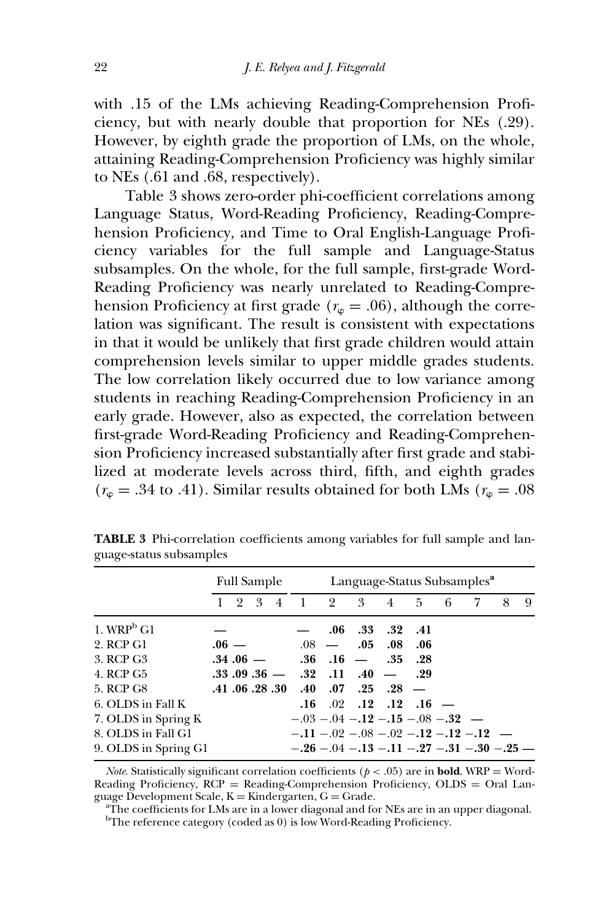with .15 of the LMs achieving Reading-Comprehension Proficiency, but with nearly double that proportion for NEs (.29). However, by eighth grade the proportion of LMs, on the whole, attaining Reading-Comprehension Proficiency was highly similar to NEs (.61 and .68, respectively).

Table 3 shows zero-order phi-coefficient correlations among Language Status, Word-Reading Proficiency, Reading-Comprehension Proficiency, and Time to Oral English-Language Proficiency variables for the full sample and Language-Status subsamples. On the whole, for the full sample, first-grade Word-Reading Proficiency was nearly unrelated to Reading-Comprehension Proficiency at first grade ( $r_{\varphi} = .06$ ), although the correlation was significant. The result is consistent with expectations in that it would be unlikely that first grade children would attain comprehension levels similar to upper middle grades students. The low correlation likely occurred due to low variance among students in reaching Reading-Comprehension Proficiency in an early grade. However, also as expected, the correlation between first-grade Word-Reading Proficiency and Reading-Comprehension Proficiency increased substantially after first grade and stabilized at moderate levels across third, fifth, and eighth grades ( $r_{\varphi} = .34$  to .41). Similar results obtained for both LMs ( $r_{\varphi} = .08$ )

|                                      |  | Full Sample |                                                     |  |                                        |     | Language-Status Subsamples <sup>a</sup>      |   |   |
|--------------------------------------|--|-------------|-----------------------------------------------------|--|----------------------------------------|-----|----------------------------------------------|---|---|
|                                      |  |             | 1 2 3 4 1 2 3 4 5                                   |  |                                        | - 6 |                                              | 8 | 9 |
| $1.$ WRP <sup>b</sup> G <sub>1</sub> |  |             | $\overline{\phantom{0}}$                            |  | $.06$ $.33$ $.32$ $.41$                |     |                                              |   |   |
| 2. RCP G1                            |  | $.06 -$     |                                                     |  | $.08$ - $.05$ $.08$ $.06$              |     |                                              |   |   |
| 3. RCP G3                            |  |             | $.34 \cdot .06$ - $.36 \cdot .16$ - $.35 \cdot .28$ |  |                                        |     |                                              |   |   |
| 4. RCP G5                            |  |             | $.33 \t .09 \t .36 \t - .32 \t .11 \t .40 \t - .29$ |  |                                        |     |                                              |   |   |
| 5. RCP G8                            |  |             | $.41.06.28.30$ $.40$ $.07$ $.25$ $.28$ $-$          |  |                                        |     |                                              |   |   |
| 6. OLDS in Fall K                    |  |             |                                                     |  | $.16$ $.02$ $.12$ $.12$ $.16$ $-$      |     |                                              |   |   |
| 7. OLDS in Spring K                  |  |             |                                                     |  | $-.03 - .04 - .12 - .15 - .08 - .32$ - |     |                                              |   |   |
| 8. OLDS in Fall G1                   |  |             |                                                     |  |                                        |     | $-.11 - .02 - .08 - .02 - .12 - .12 - .12$ - |   |   |
| 9. OLDS in Spring G1                 |  |             |                                                     |  |                                        |     | $-.26-.04-.13-.11-.27-.31-.30-.25-$          |   |   |

TABLE 3 Phi-correlation coefficients among variables for full sample and language-status subsamples

*Note.* Statistically significant correlation coefficients ( $p < .05$ ) are in **bold**. WRP = Word-Reading Proficiency,  $RCP = Reading$  Comprehension Proficiency, OLDS = Oral Language Development Scale,  $K =$  Kindergarten,  $G =$  Grade.

<sup>a</sup>The coefficients for LMs are in a lower diagonal and for NEs are in an upper diagonal. <sup>b</sup>The reference category (coded as 0) is low Word-Reading Proficiency.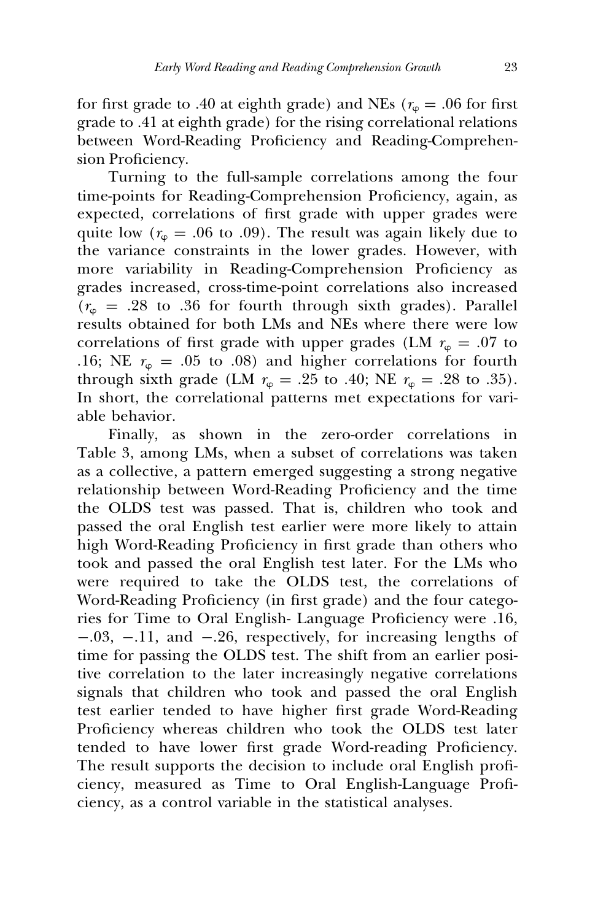for first grade to .40 at eighth grade) and NEs ( $r_{\varphi} = .06$  for first grade to .41 at eighth grade) for the rising correlational relations between Word-Reading Proficiency and Reading-Comprehension Proficiency.

Turning to the full-sample correlations among the four time-points for Reading-Comprehension Proficiency, again, as expected, correlations of first grade with upper grades were quite low ( $r_{\varphi} = .06$  to .09). The result was again likely due to the variance constraints in the lower grades. However, with more variability in Reading-Comprehension Proficiency as grades increased, cross-time-point correlations also increased  $(r_{\varphi} = .28 \text{ to } .36 \text{ for fourth through sixth grades}).$  Parallel results obtained for both LMs and NEs where there were low correlations of first grade with upper grades (LM  $r_{\varphi} = .07$  to .16; NE  $r_{\varphi} = .05$  to .08) and higher correlations for fourth through sixth grade (LM  $r_{\varphi} = .25$  to .40; NE  $r_{\varphi} = .28$  to .35). In short, the correlational patterns met expectations for variable behavior.

Finally, as shown in the zero-order correlations in Table 3, among LMs, when a subset of correlations was taken as a collective, a pattern emerged suggesting a strong negative relationship between Word-Reading Proficiency and the time the OLDS test was passed. That is, children who took and passed the oral English test earlier were more likely to attain high Word-Reading Proficiency in first grade than others who took and passed the oral English test later. For the LMs who were required to take the OLDS test, the correlations of Word-Reading Proficiency (in first grade) and the four categories for Time to Oral English- Language Proficiency were .16,  $-0.03$ ,  $-0.11$ , and  $-0.26$ , respectively, for increasing lengths of time for passing the OLDS test. The shift from an earlier positive correlation to the later increasingly negative correlations signals that children who took and passed the oral English test earlier tended to have higher first grade Word-Reading Proficiency whereas children who took the OLDS test later tended to have lower first grade Word-reading Proficiency. The result supports the decision to include oral English proficiency, measured as Time to Oral English-Language Proficiency, as a control variable in the statistical analyses.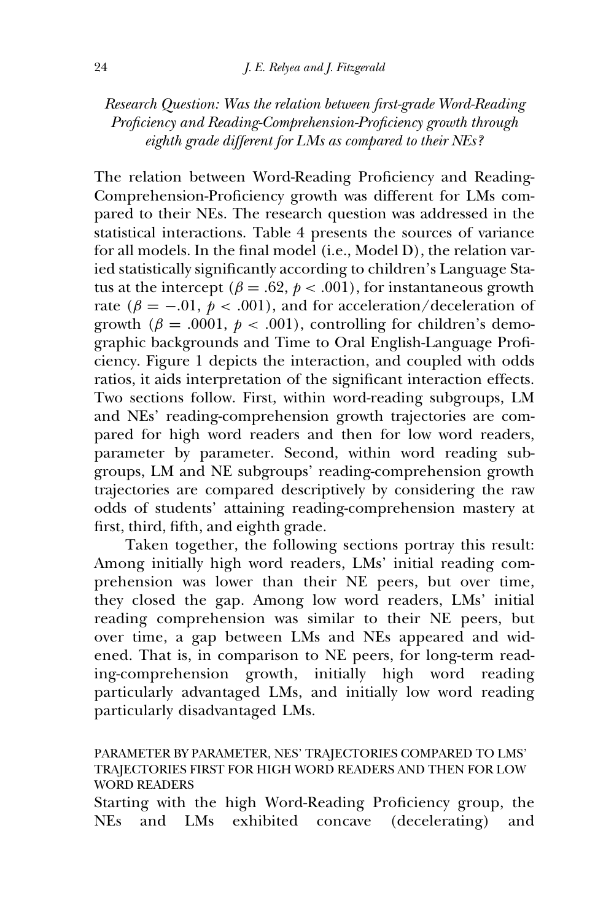Research Question: Was the relation between first-grade Word-Reading Proficiency and Reading-Comprehension-Proficiency growth through eighth grade different for LMs as compared to their NEs?

The relation between Word-Reading Proficiency and Reading-Comprehension-Proficiency growth was different for LMs compared to their NEs. The research question was addressed in the statistical interactions. Table 4 presents the sources of variance for all models. In the final model (i.e., Model D), the relation varied statistically significantly according to children's Language Status at the intercept ( $\beta = .62$ ,  $p < .001$ ), for instantaneous growth rate ( $\beta = -.01$ ,  $p < .001$ ), and for acceleration/deceleration of growth ( $\beta = .0001$ ,  $p < .001$ ), controlling for children's demographic backgrounds and Time to Oral English-Language Proficiency. Figure 1 depicts the interaction, and coupled with odds ratios, it aids interpretation of the significant interaction effects. Two sections follow. First, within word-reading subgroups, LM and NEs' reading-comprehension growth trajectories are compared for high word readers and then for low word readers, parameter by parameter. Second, within word reading subgroups, LM and NE subgroups' reading-comprehension growth trajectories are compared descriptively by considering the raw odds of students' attaining reading-comprehension mastery at first, third, fifth, and eighth grade.

Taken together, the following sections portray this result: Among initially high word readers, LMs' initial reading comprehension was lower than their NE peers, but over time, they closed the gap. Among low word readers, LMs' initial reading comprehension was similar to their NE peers, but over time, a gap between LMs and NEs appeared and widened. That is, in comparison to NE peers, for long-term reading-comprehension growth, initially high word reading particularly advantaged LMs, and initially low word reading particularly disadvantaged LMs.

PARAMETER BY PARAMETER, NES' TRAJECTORIES COMPARED TO LMS' TRAJECTORIES FIRST FOR HIGH WORD READERS AND THEN FOR LOW WORD READERS

Starting with the high Word-Reading Proficiency group, the NEs and LMs exhibited concave (decelerating) and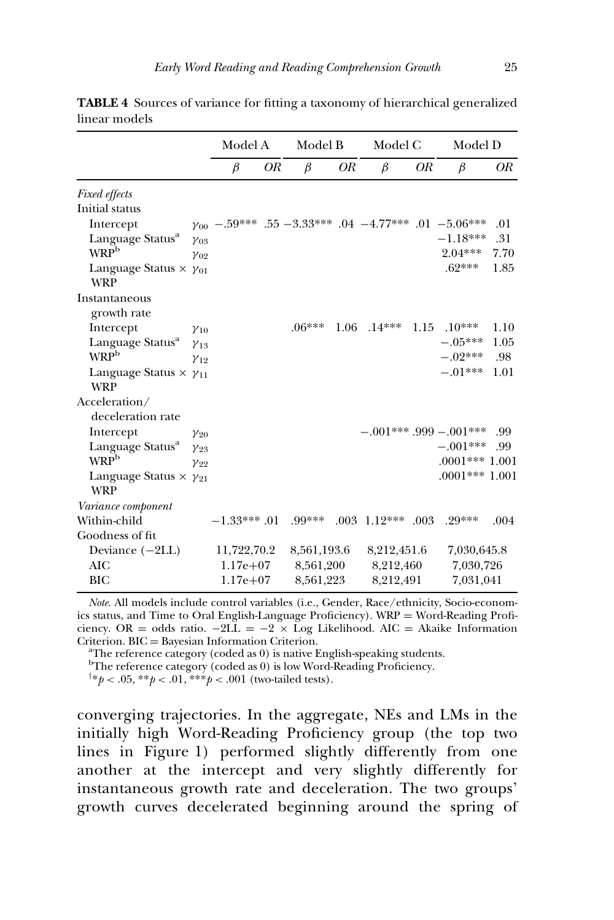|                                      |               | Model A       |    | Model B     |      | Model C     |      | Model D                                                 |      |
|--------------------------------------|---------------|---------------|----|-------------|------|-------------|------|---------------------------------------------------------|------|
|                                      |               | β             | OR | $\beta$     | OR   | $\beta$     | OR   | β                                                       | OR   |
| <b>Fixed effects</b>                 |               |               |    |             |      |             |      |                                                         |      |
| Initial status                       |               |               |    |             |      |             |      |                                                         |      |
| Intercept                            |               |               |    |             |      |             |      | $v_{00}$ -.59*** .55 -3.33*** .04 -4.77*** .01 -5.06*** | .01  |
| Language Status <sup>a</sup>         | $y_{03}$      |               |    |             |      |             |      | $-1.18***$                                              | .31  |
| <b>WRP</b> <sup>b</sup>              | $y_{02}$      |               |    |             |      |             |      | $2.04***$                                               | 7.70 |
| Language Status $\times \gamma_{01}$ |               |               |    |             |      |             |      | $.62***$                                                | 1.85 |
| <b>WRP</b>                           |               |               |    |             |      |             |      |                                                         |      |
| Instantaneous                        |               |               |    |             |      |             |      |                                                         |      |
| growth rate                          |               |               |    |             |      |             |      |                                                         |      |
| Intercept                            | $\gamma_{10}$ |               |    | $.06***$    | 1.06 | $.14***$    | 1.15 | $.10***$                                                | 1.10 |
| Language Status <sup>a</sup>         | $v_{13}$      |               |    |             |      |             |      | $-.05***$                                               | 1.05 |
| <b>WRP</b> <sup>b</sup>              | $y_{12}$      |               |    |             |      |             |      | $-.02***$                                               | .98  |
| Language Status $\times \gamma_{11}$ |               |               |    |             |      |             |      | $-.01***$                                               | 1.01 |
| <b>WRP</b>                           |               |               |    |             |      |             |      |                                                         |      |
| Acceleration/                        |               |               |    |             |      |             |      |                                                         |      |
| deceleration rate                    |               |               |    |             |      |             |      |                                                         |      |
| Intercept                            | $y_{20}$      |               |    |             |      |             |      | $-.001***$ .999 $-.001***$                              | .99  |
| Language Status <sup>a</sup>         | $y_{23}$      |               |    |             |      |             |      | $-.001***$                                              | .99  |
| WRP <sup>b</sup>                     | $y_{22}$      |               |    |             |      |             |      | $.0001***1.001$                                         |      |
| Language Status $\times \gamma_{21}$ |               |               |    |             |      |             |      | $.0001***1.001$                                         |      |
| <b>WRP</b>                           |               |               |    |             |      |             |      |                                                         |      |
| Variance component                   |               |               |    |             |      |             |      |                                                         |      |
| Within-child                         |               | $-1.33***.01$ |    | $.99***$    | .003 | $1.12***$   | .003 | $.29***$                                                | .004 |
| Goodness of fit                      |               |               |    |             |      |             |      |                                                         |      |
| Deviance $(-2LL)$                    |               | 11,722,70.2   |    | 8,561,193.6 |      | 8,212,451.6 |      | 7,030,645.8                                             |      |
| AIC                                  |               | $1.17e+07$    |    | 8,561,200   |      | 8,212,460   |      | 7,030,726                                               |      |
| BIC                                  |               | $1.17e+07$    |    | 8,561,223   |      | 8,212,491   |      | 7,031,041                                               |      |

TABLE 4 Sources of variance for fitting a taxonomy of hierarchical generalized linear models

Note. All models include control variables (i.e., Gender, Race/ethnicity, Socio-economics status, and Time to Oral English-Language Proficiency). WRP = Word-Reading Proficiency. OR = odds ratio.  $-2L\overline{L} = -2 \times \overline{L}$  Log Likelihood. AIC = Akaike Information  $Criterion$ .  $BIC = Bayesian Information Criterion$ .

 ${}^{\text{a}}$ The reference category (coded as 0) is native English-speaking students.

<sup>b</sup>The reference category (coded as 0) is low Word-Reading Proficiency.

 $\sqrt{p}$  < .05, \*\*p < .01, \*\*\*p < .001 (two-tailed tests).

converging trajectories. In the aggregate, NEs and LMs in the initially high Word-Reading Proficiency group (the top two lines in Figure 1) performed slightly differently from one another at the intercept and very slightly differently for instantaneous growth rate and deceleration. The two groups' growth curves decelerated beginning around the spring of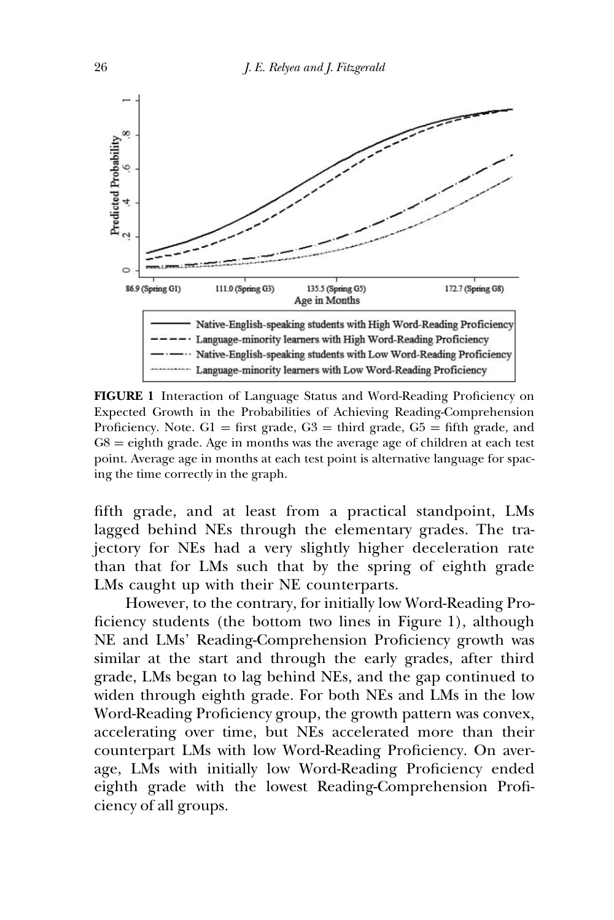

FIGURE 1 Interaction of Language Status and Word-Reading Proficiency on Expected Growth in the Probabilities of Achieving Reading-Comprehension Proficiency. Note.  $GI = first grade$ ,  $G3 = third grade$ ,  $G5 = fifth grade$ , and  $G8 =$  eighth grade. Age in months was the average age of children at each test point. Average age in months at each test point is alternative language for spacing the time correctly in the graph.

fifth grade, and at least from a practical standpoint, LMs lagged behind NEs through the elementary grades. The trajectory for NEs had a very slightly higher deceleration rate than that for LMs such that by the spring of eighth grade LMs caught up with their NE counterparts.

However, to the contrary, for initially low Word-Reading Proficiency students (the bottom two lines in Figure 1), although NE and LMs' Reading-Comprehension Proficiency growth was similar at the start and through the early grades, after third grade, LMs began to lag behind NEs, and the gap continued to widen through eighth grade. For both NEs and LMs in the low Word-Reading Proficiency group, the growth pattern was convex, accelerating over time, but NEs accelerated more than their counterpart LMs with low Word-Reading Proficiency. On average, LMs with initially low Word-Reading Proficiency ended eighth grade with the lowest Reading-Comprehension Proficiency of all groups.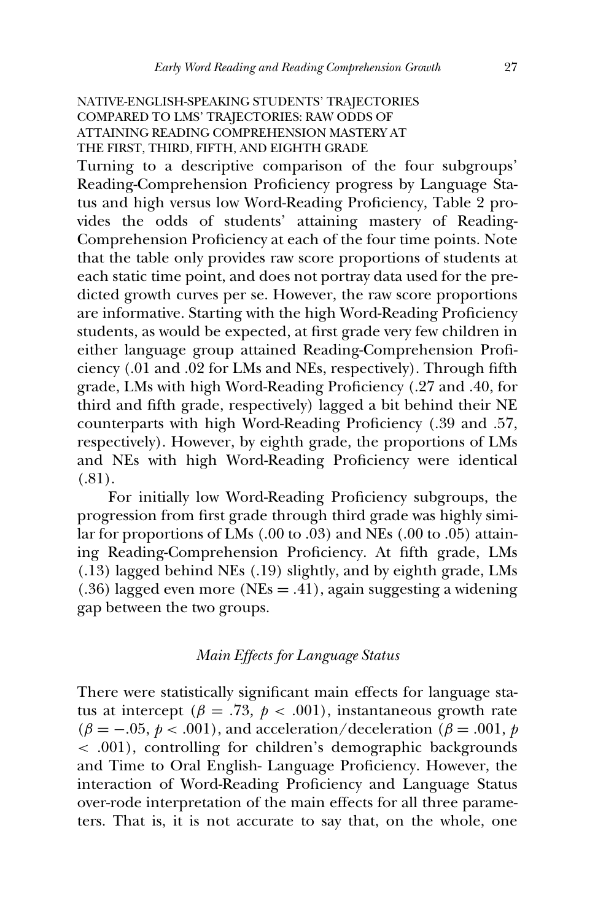# NATIVE-ENGLISH-SPEAKING STUDENTS' TRAJECTORIES COMPARED TO LMS' TRAJECTORIES: RAW ODDS OF ATTAINING READING COMPREHENSION MASTERY AT THE FIRST, THIRD, FIFTH, AND EIGHTH GRADE

Turning to a descriptive comparison of the four subgroups' Reading-Comprehension Proficiency progress by Language Status and high versus low Word-Reading Proficiency, Table 2 provides the odds of students' attaining mastery of Reading-Comprehension Proficiency at each of the four time points. Note that the table only provides raw score proportions of students at each static time point, and does not portray data used for the predicted growth curves per se. However, the raw score proportions are informative. Starting with the high Word-Reading Proficiency students, as would be expected, at first grade very few children in either language group attained Reading-Comprehension Proficiency (.01 and .02 for LMs and NEs, respectively). Through fifth grade, LMs with high Word-Reading Proficiency (.27 and .40, for third and fifth grade, respectively) lagged a bit behind their NE counterparts with high Word-Reading Proficiency (.39 and .57, respectively). However, by eighth grade, the proportions of LMs and NEs with high Word-Reading Proficiency were identical (.81).

For initially low Word-Reading Proficiency subgroups, the progression from first grade through third grade was highly similar for proportions of LMs (.00 to .03) and NEs (.00 to .05) attaining Reading-Comprehension Proficiency. At fifth grade, LMs (.13) lagged behind NEs (.19) slightly, and by eighth grade, LMs  $(.36)$  lagged even more (NEs = .41), again suggesting a widening gap between the two groups.

## Main Effects for Language Status

There were statistically significant main effects for language status at intercept ( $\beta = .73$ ,  $p < .001$ ), instantaneous growth rate  $(\beta = -.05, p < .001)$ , and acceleration/deceleration ( $\beta = .001, p$ < .001), controlling for children's demographic backgrounds and Time to Oral English- Language Proficiency. However, the interaction of Word-Reading Proficiency and Language Status over-rode interpretation of the main effects for all three parameters. That is, it is not accurate to say that, on the whole, one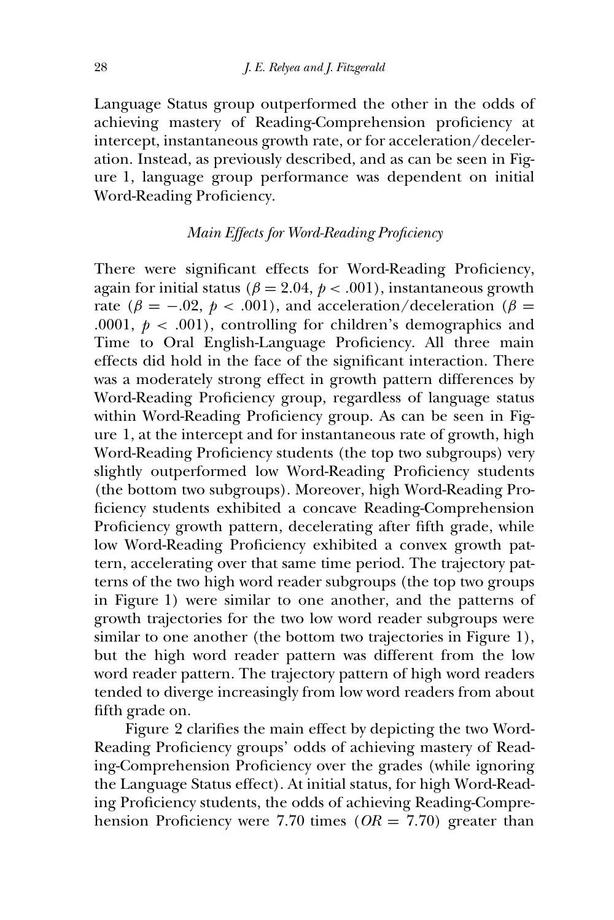Language Status group outperformed the other in the odds of achieving mastery of Reading-Comprehension proficiency at intercept, instantaneous growth rate, or for acceleration/deceleration. Instead, as previously described, and as can be seen in Figure 1, language group performance was dependent on initial Word-Reading Proficiency.

## Main Effects for Word-Reading Proficiency

There were significant effects for Word-Reading Proficiency, again for initial status ( $\beta = 2.04$ ,  $p < .001$ ), instantaneous growth rate ( $\beta = -.02$ ,  $p < .001$ ), and acceleration/deceleration ( $\beta =$ .0001,  $p < .001$ , controlling for children's demographics and Time to Oral English-Language Proficiency. All three main effects did hold in the face of the significant interaction. There was a moderately strong effect in growth pattern differences by Word-Reading Proficiency group, regardless of language status within Word-Reading Proficiency group. As can be seen in Figure 1, at the intercept and for instantaneous rate of growth, high Word-Reading Proficiency students (the top two subgroups) very slightly outperformed low Word-Reading Proficiency students (the bottom two subgroups). Moreover, high Word-Reading Proficiency students exhibited a concave Reading-Comprehension Proficiency growth pattern, decelerating after fifth grade, while low Word-Reading Proficiency exhibited a convex growth pattern, accelerating over that same time period. The trajectory patterns of the two high word reader subgroups (the top two groups in Figure 1) were similar to one another, and the patterns of growth trajectories for the two low word reader subgroups were similar to one another (the bottom two trajectories in Figure 1), but the high word reader pattern was different from the low word reader pattern. The trajectory pattern of high word readers tended to diverge increasingly from low word readers from about fifth grade on.

Figure 2 clarifies the main effect by depicting the two Word-Reading Proficiency groups' odds of achieving mastery of Reading-Comprehension Proficiency over the grades (while ignoring the Language Status effect). At initial status, for high Word-Reading Proficiency students, the odds of achieving Reading-Comprehension Proficiency were 7.70 times ( $OR = 7.70$ ) greater than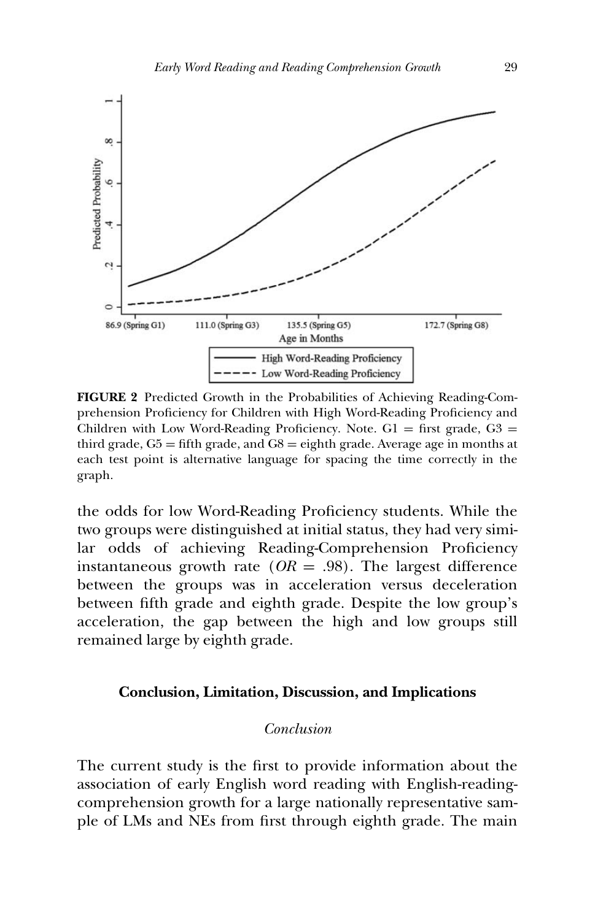

FIGURE 2 Predicted Growth in the Probabilities of Achieving Reading-Comprehension Proficiency for Children with High Word-Reading Proficiency and Children with Low Word-Reading Proficiency. Note.  $GI = first grade$ ,  $G3 =$ third grade,  $G5 =$  fifth grade, and  $Gs =$  eighth grade. Average age in months at each test point is alternative language for spacing the time correctly in the graph.

the odds for low Word-Reading Proficiency students. While the two groups were distinguished at initial status, they had very similar odds of achieving Reading-Comprehension Proficiency instantaneous growth rate ( $OR = .98$ ). The largest difference between the groups was in acceleration versus deceleration between fifth grade and eighth grade. Despite the low group's acceleration, the gap between the high and low groups still remained large by eighth grade.

#### Conclusion, Limitation, Discussion, and Implications

### Conclusion

The current study is the first to provide information about the association of early English word reading with English-readingcomprehension growth for a large nationally representative sample of LMs and NEs from first through eighth grade. The main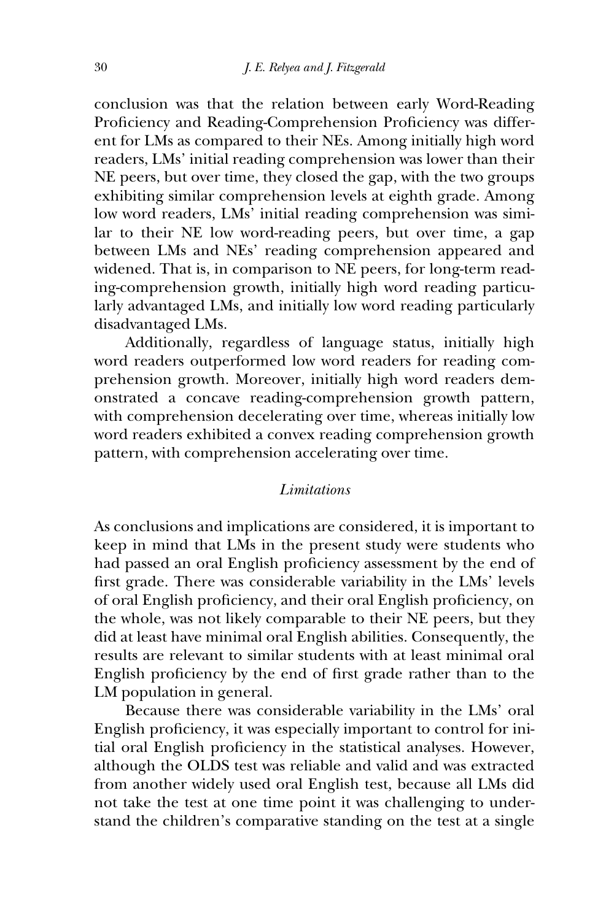conclusion was that the relation between early Word-Reading Proficiency and Reading-Comprehension Proficiency was different for LMs as compared to their NEs. Among initially high word readers, LMs' initial reading comprehension was lower than their NE peers, but over time, they closed the gap, with the two groups exhibiting similar comprehension levels at eighth grade. Among low word readers, LMs' initial reading comprehension was similar to their NE low word-reading peers, but over time, a gap between LMs and NEs' reading comprehension appeared and widened. That is, in comparison to NE peers, for long-term reading-comprehension growth, initially high word reading particularly advantaged LMs, and initially low word reading particularly disadvantaged LMs.

Additionally, regardless of language status, initially high word readers outperformed low word readers for reading comprehension growth. Moreover, initially high word readers demonstrated a concave reading-comprehension growth pattern, with comprehension decelerating over time, whereas initially low word readers exhibited a convex reading comprehension growth pattern, with comprehension accelerating over time.

#### Limitations

As conclusions and implications are considered, it is important to keep in mind that LMs in the present study were students who had passed an oral English proficiency assessment by the end of first grade. There was considerable variability in the LMs' levels of oral English proficiency, and their oral English proficiency, on the whole, was not likely comparable to their NE peers, but they did at least have minimal oral English abilities. Consequently, the results are relevant to similar students with at least minimal oral English proficiency by the end of first grade rather than to the LM population in general.

Because there was considerable variability in the LMs' oral English proficiency, it was especially important to control for initial oral English proficiency in the statistical analyses. However, although the OLDS test was reliable and valid and was extracted from another widely used oral English test, because all LMs did not take the test at one time point it was challenging to understand the children's comparative standing on the test at a single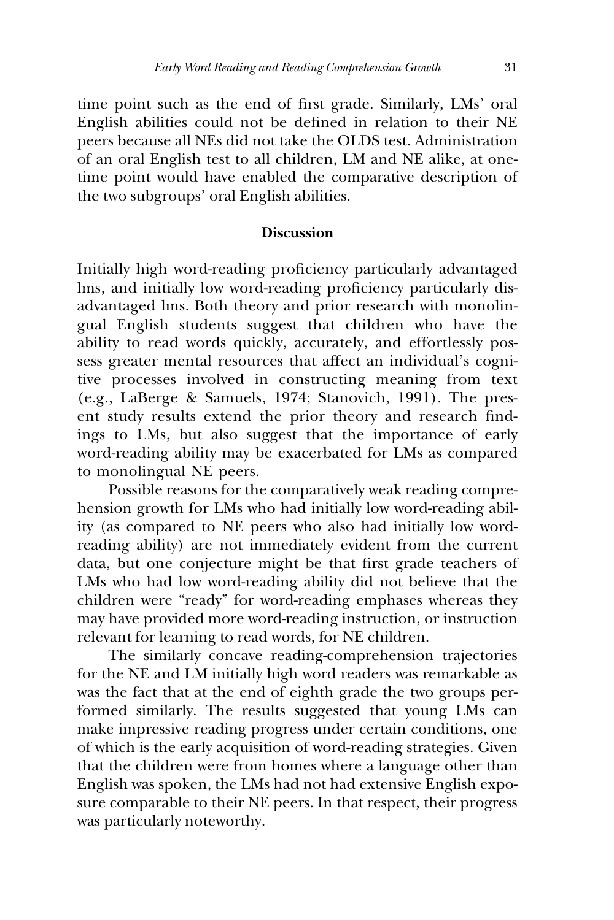time point such as the end of first grade. Similarly, LMs' oral English abilities could not be defined in relation to their NE peers because all NEs did not take the OLDS test. Administration of an oral English test to all children, LM and NE alike, at onetime point would have enabled the comparative description of the two subgroups' oral English abilities.

#### **Discussion**

Initially high word-reading proficiency particularly advantaged lms, and initially low word-reading proficiency particularly disadvantaged lms. Both theory and prior research with monolingual English students suggest that children who have the ability to read words quickly, accurately, and effortlessly possess greater mental resources that affect an individual's cognitive processes involved in constructing meaning from text (e.g., LaBerge & Samuels, 1974; Stanovich, 1991). The present study results extend the prior theory and research findings to LMs, but also suggest that the importance of early word-reading ability may be exacerbated for LMs as compared to monolingual NE peers.

Possible reasons for the comparatively weak reading comprehension growth for LMs who had initially low word-reading ability (as compared to NE peers who also had initially low wordreading ability) are not immediately evident from the current data, but one conjecture might be that first grade teachers of LMs who had low word-reading ability did not believe that the children were "ready" for word-reading emphases whereas they may have provided more word-reading instruction, or instruction relevant for learning to read words, for NE children.

The similarly concave reading-comprehension trajectories for the NE and LM initially high word readers was remarkable as was the fact that at the end of eighth grade the two groups performed similarly. The results suggested that young LMs can make impressive reading progress under certain conditions, one of which is the early acquisition of word-reading strategies. Given that the children were from homes where a language other than English was spoken, the LMs had not had extensive English exposure comparable to their NE peers. In that respect, their progress was particularly noteworthy.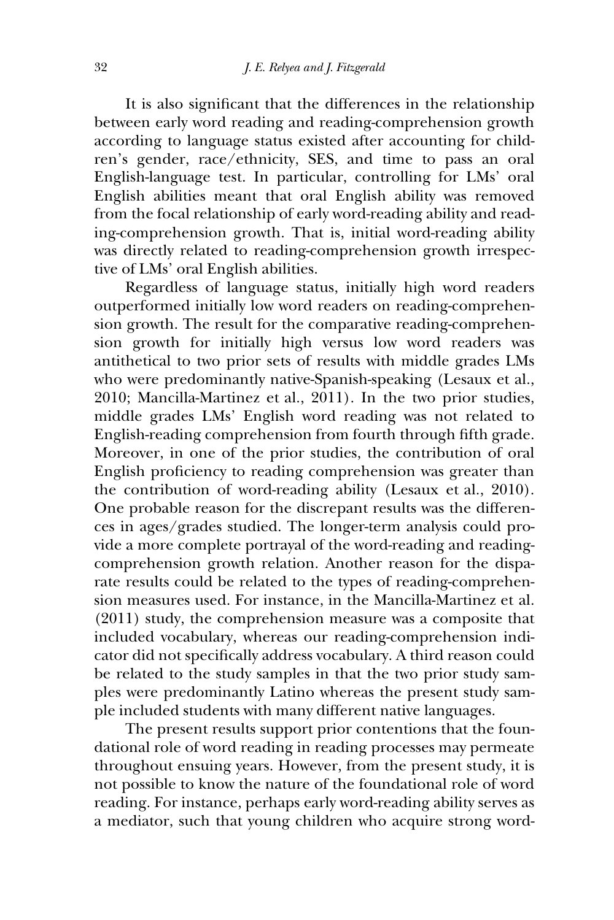It is also significant that the differences in the relationship between early word reading and reading-comprehension growth according to language status existed after accounting for children's gender, race/ethnicity, SES, and time to pass an oral English-language test. In particular, controlling for LMs' oral English abilities meant that oral English ability was removed from the focal relationship of early word-reading ability and reading-comprehension growth. That is, initial word-reading ability was directly related to reading-comprehension growth irrespective of LMs' oral English abilities.

Regardless of language status, initially high word readers outperformed initially low word readers on reading-comprehension growth. The result for the comparative reading-comprehension growth for initially high versus low word readers was antithetical to two prior sets of results with middle grades LMs who were predominantly native-Spanish-speaking (Lesaux et al., 2010; Mancilla-Martinez et al., 2011). In the two prior studies, middle grades LMs' English word reading was not related to English-reading comprehension from fourth through fifth grade. Moreover, in one of the prior studies, the contribution of oral English proficiency to reading comprehension was greater than the contribution of word-reading ability (Lesaux et al., 2010). One probable reason for the discrepant results was the differences in ages/grades studied. The longer-term analysis could provide a more complete portrayal of the word-reading and readingcomprehension growth relation. Another reason for the disparate results could be related to the types of reading-comprehension measures used. For instance, in the Mancilla-Martinez et al. (2011) study, the comprehension measure was a composite that included vocabulary, whereas our reading-comprehension indicator did not specifically address vocabulary. A third reason could be related to the study samples in that the two prior study samples were predominantly Latino whereas the present study sample included students with many different native languages.

The present results support prior contentions that the foundational role of word reading in reading processes may permeate throughout ensuing years. However, from the present study, it is not possible to know the nature of the foundational role of word reading. For instance, perhaps early word-reading ability serves as a mediator, such that young children who acquire strong word-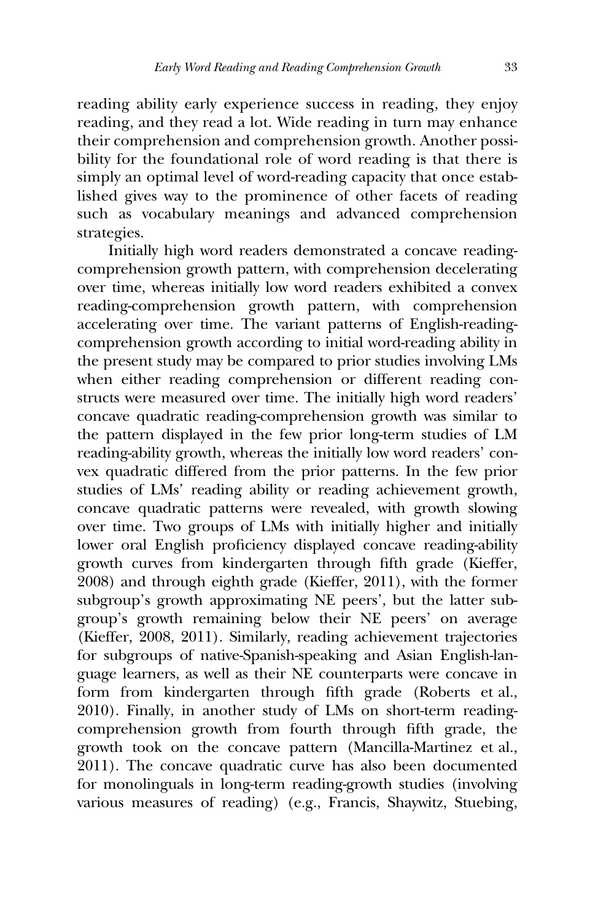reading ability early experience success in reading, they enjoy reading, and they read a lot. Wide reading in turn may enhance their comprehension and comprehension growth. Another possibility for the foundational role of word reading is that there is simply an optimal level of word-reading capacity that once established gives way to the prominence of other facets of reading such as vocabulary meanings and advanced comprehension strategies.

Initially high word readers demonstrated a concave readingcomprehension growth pattern, with comprehension decelerating over time, whereas initially low word readers exhibited a convex reading-comprehension growth pattern, with comprehension accelerating over time. The variant patterns of English-readingcomprehension growth according to initial word-reading ability in the present study may be compared to prior studies involving LMs when either reading comprehension or different reading constructs were measured over time. The initially high word readers' concave quadratic reading-comprehension growth was similar to the pattern displayed in the few prior long-term studies of LM reading-ability growth, whereas the initially low word readers' convex quadratic differed from the prior patterns. In the few prior studies of LMs' reading ability or reading achievement growth, concave quadratic patterns were revealed, with growth slowing over time. Two groups of LMs with initially higher and initially lower oral English proficiency displayed concave reading-ability growth curves from kindergarten through fifth grade (Kieffer, 2008) and through eighth grade (Kieffer, 2011), with the former subgroup's growth approximating NE peers', but the latter subgroup's growth remaining below their NE peers' on average (Kieffer, 2008, 2011). Similarly, reading achievement trajectories for subgroups of native-Spanish-speaking and Asian English-language learners, as well as their NE counterparts were concave in form from kindergarten through fifth grade (Roberts et al., 2010). Finally, in another study of LMs on short-term readingcomprehension growth from fourth through fifth grade, the growth took on the concave pattern (Mancilla-Martinez et al., 2011). The concave quadratic curve has also been documented for monolinguals in long-term reading-growth studies (involving various measures of reading) (e.g., Francis, Shaywitz, Stuebing,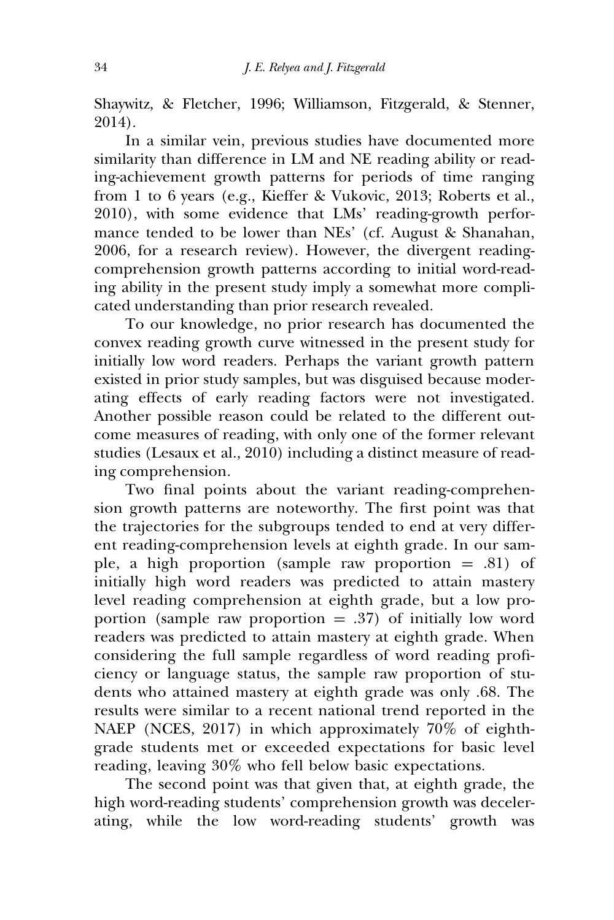Shaywitz, & Fletcher, 1996; Williamson, Fitzgerald, & Stenner, 2014).

In a similar vein, previous studies have documented more similarity than difference in LM and NE reading ability or reading-achievement growth patterns for periods of time ranging from 1 to 6 years (e.g., Kieffer & Vukovic, 2013; Roberts et al., 2010), with some evidence that LMs' reading-growth performance tended to be lower than NEs' (cf. August & Shanahan, 2006, for a research review). However, the divergent readingcomprehension growth patterns according to initial word-reading ability in the present study imply a somewhat more complicated understanding than prior research revealed.

To our knowledge, no prior research has documented the convex reading growth curve witnessed in the present study for initially low word readers. Perhaps the variant growth pattern existed in prior study samples, but was disguised because moderating effects of early reading factors were not investigated. Another possible reason could be related to the different outcome measures of reading, with only one of the former relevant studies (Lesaux et al., 2010) including a distinct measure of reading comprehension.

Two final points about the variant reading-comprehension growth patterns are noteworthy. The first point was that the trajectories for the subgroups tended to end at very different reading-comprehension levels at eighth grade. In our sample, a high proportion (sample raw proportion  $= .81$ ) of initially high word readers was predicted to attain mastery level reading comprehension at eighth grade, but a low proportion (sample raw proportion  $= .37$ ) of initially low word readers was predicted to attain mastery at eighth grade. When considering the full sample regardless of word reading proficiency or language status, the sample raw proportion of students who attained mastery at eighth grade was only .68. The results were similar to a recent national trend reported in the NAEP (NCES, 2017) in which approximately  $70\%$  of eighthgrade students met or exceeded expectations for basic level reading, leaving 30% who fell below basic expectations.

The second point was that given that, at eighth grade, the high word-reading students' comprehension growth was decelerating, while the low word-reading students' growth was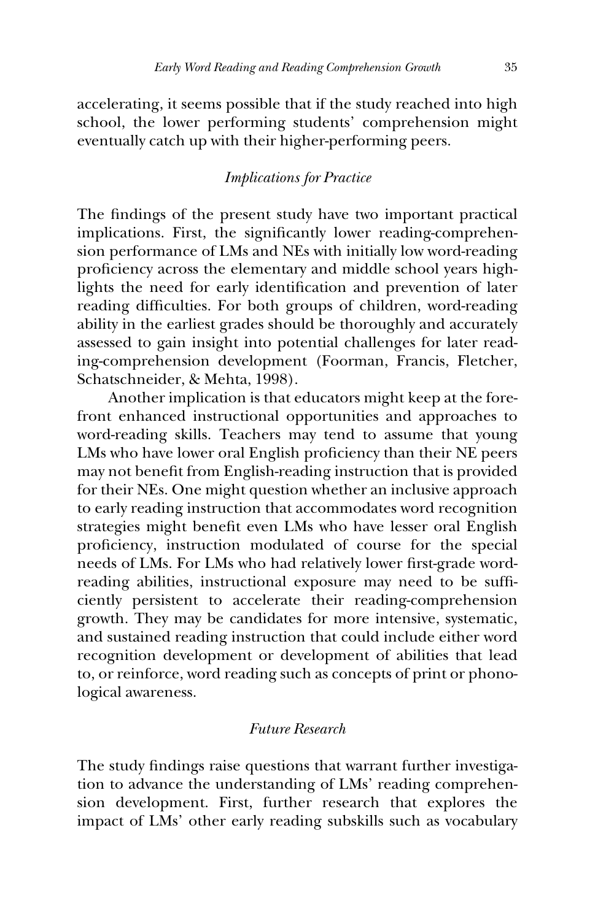accelerating, it seems possible that if the study reached into high school, the lower performing students' comprehension might eventually catch up with their higher-performing peers.

# Implications for Practice

The findings of the present study have two important practical implications. First, the significantly lower reading-comprehension performance of LMs and NEs with initially low word-reading proficiency across the elementary and middle school years highlights the need for early identification and prevention of later reading difficulties. For both groups of children, word-reading ability in the earliest grades should be thoroughly and accurately assessed to gain insight into potential challenges for later reading-comprehension development (Foorman, Francis, Fletcher, Schatschneider, & Mehta, 1998).

Another implication is that educators might keep at the forefront enhanced instructional opportunities and approaches to word-reading skills. Teachers may tend to assume that young LMs who have lower oral English proficiency than their NE peers may not benefit from English-reading instruction that is provided for their NEs. One might question whether an inclusive approach to early reading instruction that accommodates word recognition strategies might benefit even LMs who have lesser oral English proficiency, instruction modulated of course for the special needs of LMs. For LMs who had relatively lower first-grade wordreading abilities, instructional exposure may need to be sufficiently persistent to accelerate their reading-comprehension growth. They may be candidates for more intensive, systematic, and sustained reading instruction that could include either word recognition development or development of abilities that lead to, or reinforce, word reading such as concepts of print or phonological awareness.

# Future Research

The study findings raise questions that warrant further investigation to advance the understanding of LMs' reading comprehension development. First, further research that explores the impact of LMs' other early reading subskills such as vocabulary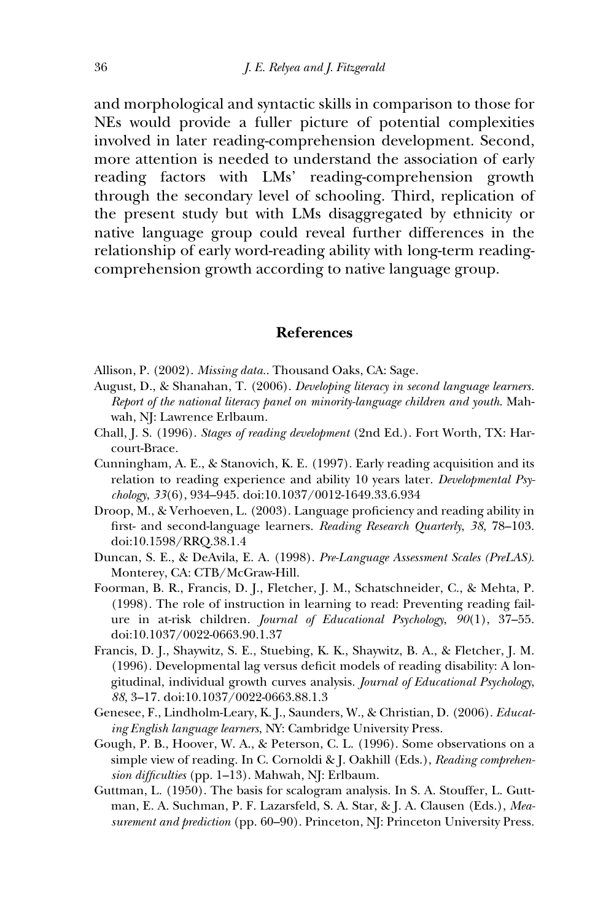and morphological and syntactic skills in comparison to those for NEs would provide a fuller picture of potential complexities involved in later reading-comprehension development. Second, more attention is needed to understand the association of early reading factors with LMs' reading-comprehension growth through the secondary level of schooling. Third, replication of the present study but with LMs disaggregated by ethnicity or native language group could reveal further differences in the relationship of early word-reading ability with long-term readingcomprehension growth according to native language group.

# References

Allison, P. (2002). Missing data.. Thousand Oaks, CA: Sage.

- August, D., & Shanahan, T. (2006). Developing literacy in second language learners. Report of the national literacy panel on minority-language children and youth. Mahwah, NJ: Lawrence Erlbaum.
- Chall, J. S. (1996). Stages of reading development (2nd Ed.). Fort Worth, TX: Harcourt-Brace.
- Cunningham, A. E., & Stanovich, K. E. (1997). Early reading acquisition and its relation to reading experience and ability 10 years later. Developmental Psychology, 33(6), 934–945. doi:10.1037/0012-1649.33.6.934
- Droop, M., & Verhoeven, L. (2003). Language proficiency and reading ability in first- and second-language learners. Reading Research Quarterly, 38, 78–103. doi:10.1598/RRQ.38.1.4
- Duncan, S. E., & DeAvila, E. A. (1998). Pre-Language Assessment Scales (PreLAS). Monterey, CA: CTB/McGraw-Hill.
- Foorman, B. R., Francis, D. J., Fletcher, J. M., Schatschneider, C., & Mehta, P. (1998). The role of instruction in learning to read: Preventing reading failure in at-risk children. Journal of Educational Psychology, 90(1), 37–55. doi:10.1037/0022-0663.90.1.37
- Francis, D. J., Shaywitz, S. E., Stuebing, K. K., Shaywitz, B. A., & Fletcher, J. M. (1996). Developmental lag versus deficit models of reading disability: A longitudinal, individual growth curves analysis. Journal of Educational Psychology, 88, 3–17. doi:10.1037/0022-0663.88.1.3
- Genesee, F., Lindholm-Leary, K. J., Saunders, W., & Christian, D. (2006). Educating English language learners, NY: Cambridge University Press.
- Gough, P. B., Hoover, W. A., & Peterson, C. L. (1996). Some observations on a simple view of reading. In C. Cornoldi & J. Oakhill (Eds.), Reading comprehension difficulties (pp. 1–13). Mahwah, NJ: Erlbaum.
- Guttman, L. (1950). The basis for scalogram analysis. In S. A. Stouffer, L. Guttman, E. A. Suchman, P. F. Lazarsfeld, S. A. Star, & J. A. Clausen (Eds.), Measurement and prediction (pp. 60–90). Princeton, NJ: Princeton University Press.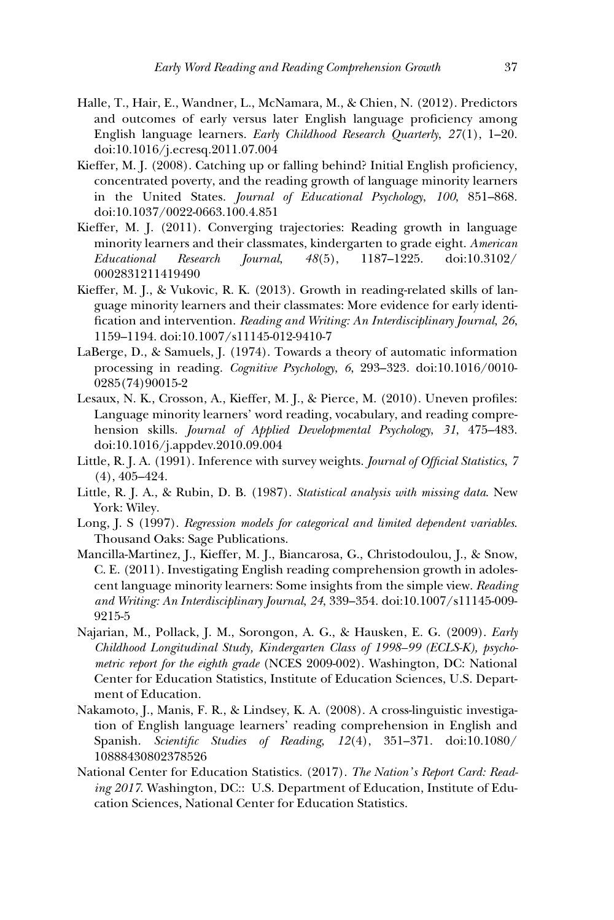- Halle, T., Hair, E., Wandner, L., McNamara, M., & Chien, N. (2012). Predictors and outcomes of early versus later English language proficiency among English language learners. Early Childhood Research Quarterly, 27(1), 1–20. doi:10.1016/j.ecresq.2011.07.004
- Kieffer, M. J. (2008). Catching up or falling behind? Initial English proficiency, concentrated poverty, and the reading growth of language minority learners in the United States. Journal of Educational Psychology, 100, 851–868. doi:10.1037/0022-0663.100.4.851
- Kieffer, M. J. (2011). Converging trajectories: Reading growth in language minority learners and their classmates, kindergarten to grade eight. American Educational Research Journal, 48(5), 1187–1225. doi:10.3102/ 0002831211419490
- Kieffer, M. J., & Vukovic, R. K. (2013). Growth in reading-related skills of language minority learners and their classmates: More evidence for early identification and intervention. Reading and Writing: An Interdisciplinary Journal, 26, 1159–1194. doi:10.1007/s11145-012-9410-7
- LaBerge, D., & Samuels, J. (1974). Towards a theory of automatic information processing in reading. Cognitive Psychology, 6, 293–323. doi:10.1016/0010- 0285(74)90015-2
- Lesaux, N. K., Crosson, A., Kieffer, M. J., & Pierce, M. (2010). Uneven profiles: Language minority learners' word reading, vocabulary, and reading comprehension skills. Journal of Applied Developmental Psychology, 31, 475–483. doi:10.1016/j.appdev.2010.09.004
- Little, R. J. A. (1991). Inference with survey weights. Journal of Official Statistics, 7 (4), 405–424.
- Little, R. J. A., & Rubin, D. B. (1987). Statistical analysis with missing data. New York: Wiley.
- Long, J. S (1997). Regression models for categorical and limited dependent variables. Thousand Oaks: Sage Publications.
- Mancilla-Martinez, J., Kieffer, M. J., Biancarosa, G., Christodoulou, J., & Snow, C. E. (2011). Investigating English reading comprehension growth in adolescent language minority learners: Some insights from the simple view. Reading and Writing: An Interdisciplinary Journal, 24, 339–354. doi:10.1007/s11145-009- 9215-5
- Najarian, M., Pollack, J. M., Sorongon, A. G., & Hausken, E. G. (2009). Early Childhood Longitudinal Study, Kindergarten Class of 1998–99 (ECLS-K), psychometric report for the eighth grade (NCES 2009-002). Washington, DC: National Center for Education Statistics, Institute of Education Sciences, U.S. Department of Education.
- Nakamoto, J., Manis, F. R., & Lindsey, K. A. (2008). A cross-linguistic investigation of English language learners' reading comprehension in English and Spanish. Scientific Studies of Reading, 12(4), 351–371. doi:10.1080/ 10888430802378526
- National Center for Education Statistics. (2017). The Nation's Report Card: Reading 2017. Washington, DC:: U.S. Department of Education, Institute of Education Sciences, National Center for Education Statistics.